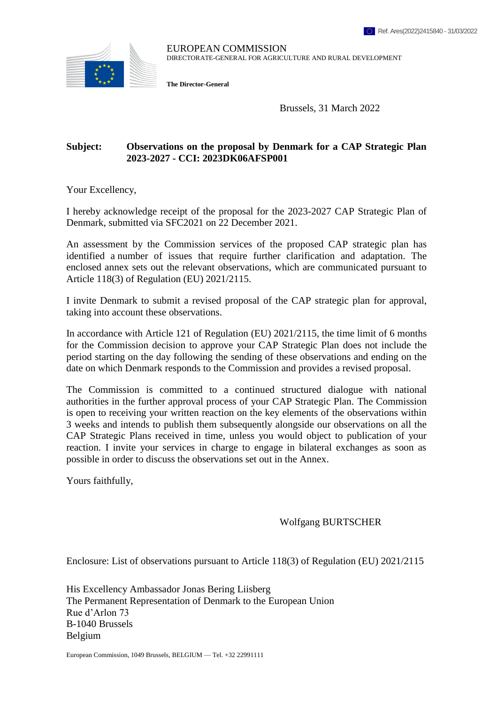

EUROPEAN COMMISSION DIRECTORATE-GENERAL FOR AGRICULTURE AND RURAL DEVELOPMENT

**The Director-General**

Brussels, 31 March 2022

# **Subject: Observations on the proposal by Denmark for a CAP Strategic Plan 2023-2027 - CCI: 2023DK06AFSP001**

Your Excellency,

I hereby acknowledge receipt of the proposal for the 2023-2027 CAP Strategic Plan of Denmark, submitted via SFC2021 on 22 December 2021.

An assessment by the Commission services of the proposed CAP strategic plan has identified a number of issues that require further clarification and adaptation. The enclosed annex sets out the relevant observations, which are communicated pursuant to Article 118(3) of Regulation (EU) 2021/2115.

I invite Denmark to submit a revised proposal of the CAP strategic plan for approval, taking into account these observations.

In accordance with Article 121 of Regulation (EU) 2021/2115, the time limit of 6 months for the Commission decision to approve your CAP Strategic Plan does not include the period starting on the day following the sending of these observations and ending on the date on which Denmark responds to the Commission and provides a revised proposal.

The Commission is committed to a continued structured dialogue with national authorities in the further approval process of your CAP Strategic Plan. The Commission is open to receiving your written reaction on the key elements of the observations within 3 weeks and intends to publish them subsequently alongside our observations on all the CAP Strategic Plans received in time, unless you would object to publication of your reaction. I invite your services in charge to engage in bilateral exchanges as soon as possible in order to discuss the observations set out in the Annex.

Yours faithfully,

# Wolfgang BURTSCHER

Enclosure: List of observations pursuant to Article 118(3) of Regulation (EU) 2021/2115

His Excellency Ambassador Jonas Bering Liisberg The Permanent Representation of Denmark to the European Union Rue d'Arlon 73 B-1040 Brussels Belgium

European Commission, 1049 Brussels, BELGIUM — Tel. +32 22991111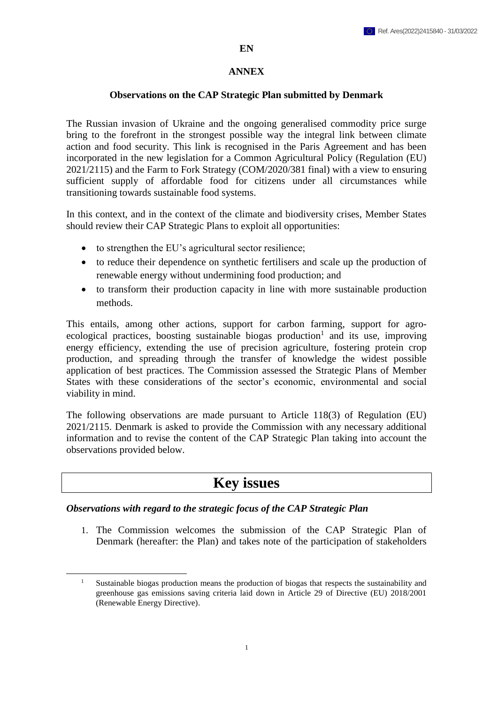#### **EN**

#### **ANNEX**

#### **Observations on the CAP Strategic Plan submitted by Denmark**

The Russian invasion of Ukraine and the ongoing generalised commodity price surge bring to the forefront in the strongest possible way the integral link between climate action and food security. This link is recognised in the Paris Agreement and has been incorporated in the new legislation for a Common Agricultural Policy (Regulation (EU) 2021/2115) and the Farm to Fork Strategy (COM/2020/381 final) with a view to ensuring sufficient supply of affordable food for citizens under all circumstances while transitioning towards sustainable food systems.

In this context, and in the context of the climate and biodiversity crises, Member States should review their CAP Strategic Plans to exploit all opportunities:

- to strengthen the EU's agricultural sector resilience;
- to reduce their dependence on synthetic fertilisers and scale up the production of renewable energy without undermining food production; and
- to transform their production capacity in line with more sustainable production methods.

This entails, among other actions, support for carbon farming, support for agroecological practices, boosting sustainable biogas production<sup>1</sup> and its use, improving energy efficiency, extending the use of precision agriculture, fostering protein crop production, and spreading through the transfer of knowledge the widest possible application of best practices. The Commission assessed the Strategic Plans of Member States with these considerations of the sector's economic, environmental and social viability in mind.

The following observations are made pursuant to Article 118(3) of Regulation (EU) 2021/2115. Denmark is asked to provide the Commission with any necessary additional information and to revise the content of the CAP Strategic Plan taking into account the observations provided below.

# **Key issues**

#### *Observations with regard to the strategic focus of the CAP Strategic Plan*

 $\overline{a}$ 

1. The Commission welcomes the submission of the CAP Strategic Plan of Denmark (hereafter: the Plan) and takes note of the participation of stakeholders

<sup>&</sup>lt;sup>1</sup> Sustainable biogas production means the production of biogas that respects the sustainability and greenhouse gas emissions saving criteria laid down in Article 29 of Directive (EU) 2018/2001 (Renewable Energy Directive).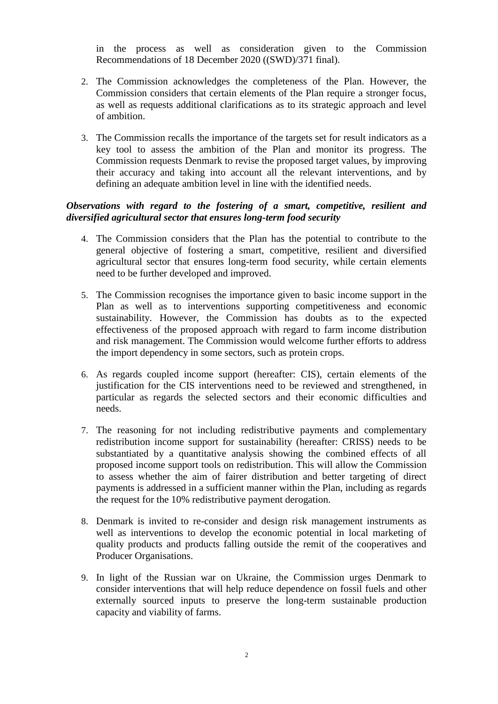in the process as well as consideration given to the Commission Recommendations of 18 December 2020 ((SWD)/371 final).

- 2. The Commission acknowledges the completeness of the Plan. However, the Commission considers that certain elements of the Plan require a stronger focus, as well as requests additional clarifications as to its strategic approach and level of ambition.
- 3. The Commission recalls the importance of the targets set for result indicators as a key tool to assess the ambition of the Plan and monitor its progress. The Commission requests Denmark to revise the proposed target values, by improving their accuracy and taking into account all the relevant interventions, and by defining an adequate ambition level in line with the identified needs.

# *Observations with regard to the fostering of a smart, competitive, resilient and diversified agricultural sector that ensures long-term food security*

- 4. The Commission considers that the Plan has the potential to contribute to the general objective of fostering a smart, competitive, resilient and diversified agricultural sector that ensures long-term food security, while certain elements need to be further developed and improved.
- 5. The Commission recognises the importance given to basic income support in the Plan as well as to interventions supporting competitiveness and economic sustainability. However, the Commission has doubts as to the expected effectiveness of the proposed approach with regard to farm income distribution and risk management. The Commission would welcome further efforts to address the import dependency in some sectors, such as protein crops.
- 6. As regards coupled income support (hereafter: CIS), certain elements of the justification for the CIS interventions need to be reviewed and strengthened, in particular as regards the selected sectors and their economic difficulties and needs.
- 7. The reasoning for not including redistributive payments and complementary redistribution income support for sustainability (hereafter: CRISS) needs to be substantiated by a quantitative analysis showing the combined effects of all proposed income support tools on redistribution. This will allow the Commission to assess whether the aim of fairer distribution and better targeting of direct payments is addressed in a sufficient manner within the Plan, including as regards the request for the 10% redistributive payment derogation.
- 8. Denmark is invited to re-consider and design risk management instruments as well as interventions to develop the economic potential in local marketing of quality products and products falling outside the remit of the cooperatives and Producer Organisations.
- 9. In light of the Russian war on Ukraine, the Commission urges Denmark to consider interventions that will help reduce dependence on fossil fuels and other externally sourced inputs to preserve the long-term sustainable production capacity and viability of farms.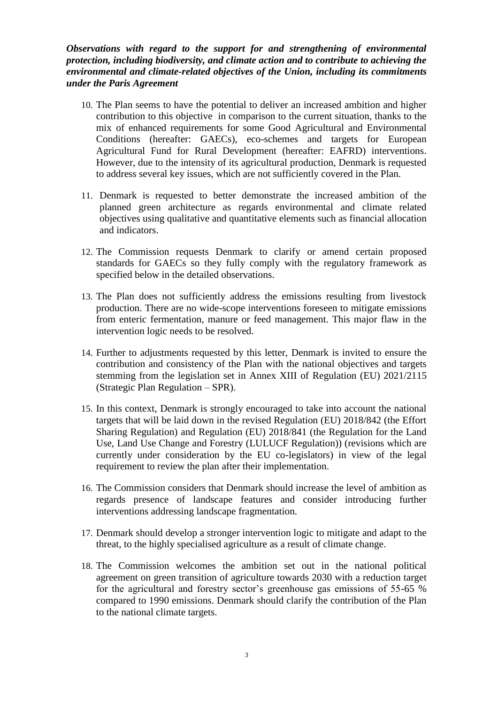# *Observations with regard to the support for and strengthening of environmental protection, including biodiversity, and climate action and to contribute to achieving the environmental and climate-related objectives of the Union, including its commitments under the Paris Agreement*

- 10. The Plan seems to have the potential to deliver an increased ambition and higher contribution to this objective in comparison to the current situation, thanks to the mix of enhanced requirements for some Good Agricultural and Environmental Conditions (hereafter: GAECs), eco-schemes and targets for European Agricultural Fund for Rural Development (hereafter: EAFRD) interventions. However, due to the intensity of its agricultural production, Denmark is requested to address several key issues, which are not sufficiently covered in the Plan.
- 11. Denmark is requested to better demonstrate the increased ambition of the planned green architecture as regards environmental and climate related objectives using qualitative and quantitative elements such as financial allocation and indicators.
- 12. The Commission requests Denmark to clarify or amend certain proposed standards for GAECs so they fully comply with the regulatory framework as specified below in the detailed observations.
- 13. The Plan does not sufficiently address the emissions resulting from livestock production. There are no wide-scope interventions foreseen to mitigate emissions from enteric fermentation, manure or feed management. This major flaw in the intervention logic needs to be resolved.
- 14. Further to adjustments requested by this letter, Denmark is invited to ensure the contribution and consistency of the Plan with the national objectives and targets stemming from the legislation set in Annex XIII of Regulation (EU) 2021/2115 (Strategic Plan Regulation – SPR).
- 15. In this context, Denmark is strongly encouraged to take into account the national targets that will be laid down in the revised Regulation (EU) 2018/842 (the Effort Sharing Regulation) and Regulation (EU) 2018/841 (the Regulation for the Land Use, Land Use Change and Forestry (LULUCF Regulation)) (revisions which are currently under consideration by the EU co-legislators) in view of the legal requirement to review the plan after their implementation.
- 16. The Commission considers that Denmark should increase the level of ambition as regards presence of landscape features and consider introducing further interventions addressing landscape fragmentation.
- 17. Denmark should develop a stronger intervention logic to mitigate and adapt to the threat, to the highly specialised agriculture as a result of climate change.
- 18. The Commission welcomes the ambition set out in the national political agreement on green transition of agriculture towards 2030 with a reduction target for the agricultural and forestry sector's greenhouse gas emissions of 55-65 % compared to 1990 emissions. Denmark should clarify the contribution of the Plan to the national climate targets.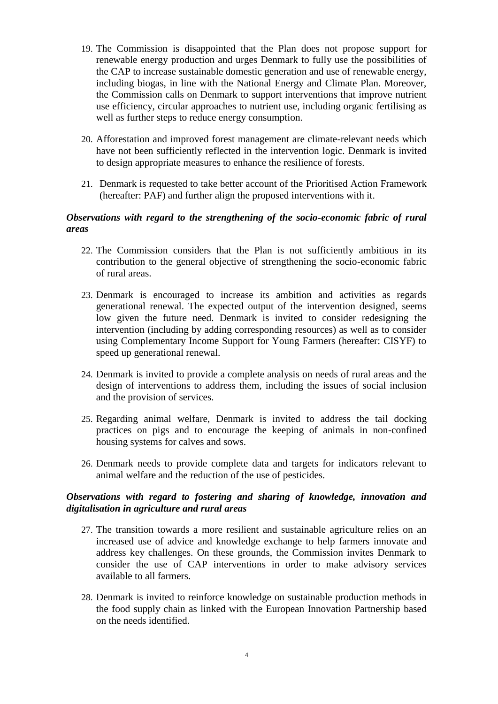- 19. The Commission is disappointed that the Plan does not propose support for renewable energy production and urges Denmark to fully use the possibilities of the CAP to increase sustainable domestic generation and use of renewable energy, including biogas, in line with the National Energy and Climate Plan. Moreover, the Commission calls on Denmark to support interventions that improve nutrient use efficiency, circular approaches to nutrient use, including organic fertilising as well as further steps to reduce energy consumption.
- 20. Afforestation and improved forest management are climate-relevant needs which have not been sufficiently reflected in the intervention logic. Denmark is invited to design appropriate measures to enhance the resilience of forests.
- 21. Denmark is requested to take better account of the Prioritised Action Framework (hereafter: PAF) and further align the proposed interventions with it.

# *Observations with regard to the strengthening of the socio-economic fabric of rural areas*

- 22. The Commission considers that the Plan is not sufficiently ambitious in its contribution to the general objective of strengthening the socio-economic fabric of rural areas.
- 23. Denmark is encouraged to increase its ambition and activities as regards generational renewal. The expected output of the intervention designed, seems low given the future need. Denmark is invited to consider redesigning the intervention (including by adding corresponding resources) as well as to consider using Complementary Income Support for Young Farmers (hereafter: CISYF) to speed up generational renewal.
- 24. Denmark is invited to provide a complete analysis on needs of rural areas and the design of interventions to address them, including the issues of social inclusion and the provision of services.
- 25. Regarding animal welfare, Denmark is invited to address the tail docking practices on pigs and to encourage the keeping of animals in non-confined housing systems for calves and sows.
- 26. Denmark needs to provide complete data and targets for indicators relevant to animal welfare and the reduction of the use of pesticides.

# *Observations with regard to fostering and sharing of knowledge, innovation and digitalisation in agriculture and rural areas*

- 27. The transition towards a more resilient and sustainable agriculture relies on an increased use of advice and knowledge exchange to help farmers innovate and address key challenges. On these grounds, the Commission invites Denmark to consider the use of CAP interventions in order to make advisory services available to all farmers.
- 28. Denmark is invited to reinforce knowledge on sustainable production methods in the food supply chain as linked with the European Innovation Partnership based on the needs identified.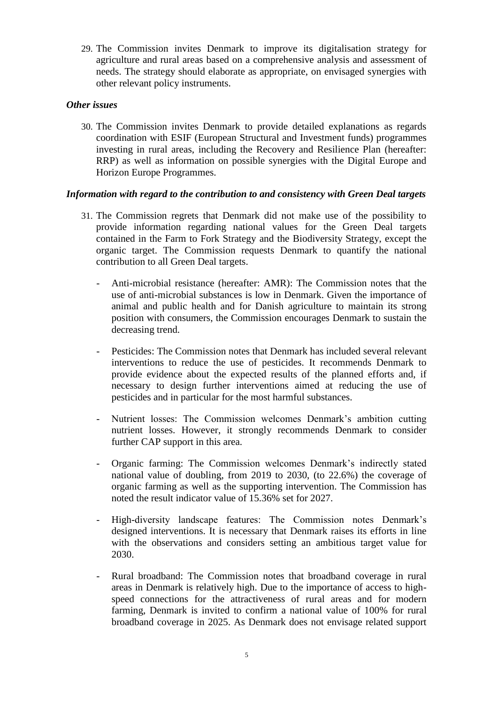29. The Commission invites Denmark to improve its digitalisation strategy for agriculture and rural areas based on a comprehensive analysis and assessment of needs. The strategy should elaborate as appropriate, on envisaged synergies with other relevant policy instruments.

# *Other issues*

30. The Commission invites Denmark to provide detailed explanations as regards coordination with ESIF (European Structural and Investment funds) programmes investing in rural areas, including the Recovery and Resilience Plan (hereafter: RRP) as well as information on possible synergies with the Digital Europe and Horizon Europe Programmes.

### *Information with regard to the contribution to and consistency with Green Deal targets*

- 31. The Commission regrets that Denmark did not make use of the possibility to provide information regarding national values for the Green Deal targets contained in the Farm to Fork Strategy and the Biodiversity Strategy, except the organic target. The Commission requests Denmark to quantify the national contribution to all Green Deal targets.
	- Anti-microbial resistance (hereafter: AMR): The Commission notes that the use of anti-microbial substances is low in Denmark. Given the importance of animal and public health and for Danish agriculture to maintain its strong position with consumers, the Commission encourages Denmark to sustain the decreasing trend.
	- Pesticides: The Commission notes that Denmark has included several relevant interventions to reduce the use of pesticides. It recommends Denmark to provide evidence about the expected results of the planned efforts and, if necessary to design further interventions aimed at reducing the use of pesticides and in particular for the most harmful substances.
	- Nutrient losses: The Commission welcomes Denmark's ambition cutting nutrient losses. However, it strongly recommends Denmark to consider further CAP support in this area.
	- Organic farming: The Commission welcomes Denmark's indirectly stated national value of doubling, from 2019 to 2030, (to 22.6%) the coverage of organic farming as well as the supporting intervention. The Commission has noted the result indicator value of 15.36% set for 2027.
	- High-diversity landscape features: The Commission notes Denmark's designed interventions. It is necessary that Denmark raises its efforts in line with the observations and considers setting an ambitious target value for 2030.
	- Rural broadband: The Commission notes that broadband coverage in rural areas in Denmark is relatively high. Due to the importance of access to highspeed connections for the attractiveness of rural areas and for modern farming, Denmark is invited to confirm a national value of 100% for rural broadband coverage in 2025. As Denmark does not envisage related support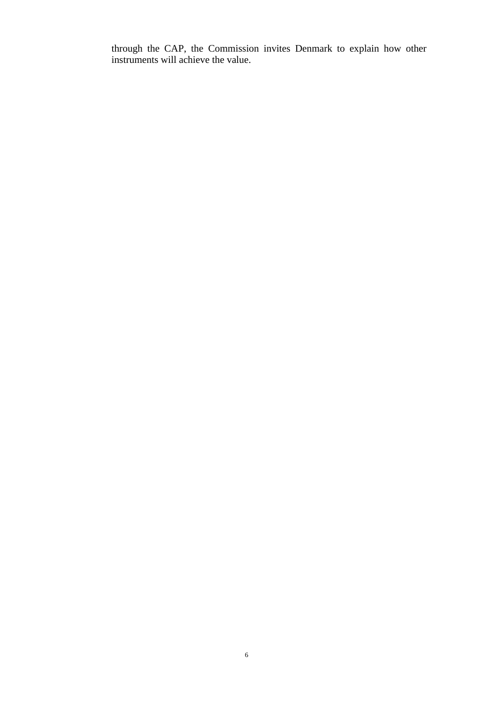through the CAP, the Commission invites Denmark to explain how other instruments will achieve the value.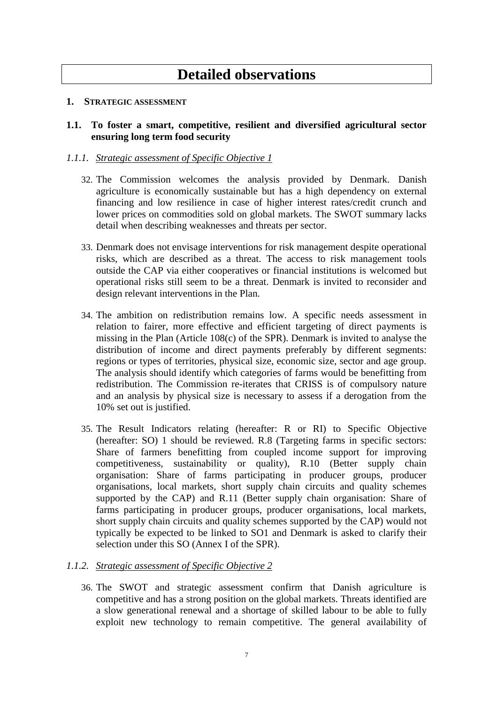# **Detailed observations**

### **1. STRATEGIC ASSESSMENT**

# **1.1. To foster a smart, competitive, resilient and diversified agricultural sector ensuring long term food security**

# *1.1.1. Strategic assessment of Specific Objective 1*

- 32. The Commission welcomes the analysis provided by Denmark. Danish agriculture is economically sustainable but has a high dependency on external financing and low resilience in case of higher interest rates/credit crunch and lower prices on commodities sold on global markets. The SWOT summary lacks detail when describing weaknesses and threats per sector.
- 33. Denmark does not envisage interventions for risk management despite operational risks, which are described as a threat. The access to risk management tools outside the CAP via either cooperatives or financial institutions is welcomed but operational risks still seem to be a threat. Denmark is invited to reconsider and design relevant interventions in the Plan.
- 34. The ambition on redistribution remains low. A specific needs assessment in relation to fairer, more effective and efficient targeting of direct payments is missing in the Plan (Article 108(c) of the SPR). Denmark is invited to analyse the distribution of income and direct payments preferably by different segments: regions or types of territories, physical size, economic size, sector and age group. The analysis should identify which categories of farms would be benefitting from redistribution. The Commission re-iterates that CRISS is of compulsory nature and an analysis by physical size is necessary to assess if a derogation from the 10% set out is justified.
- 35. The Result Indicators relating (hereafter: R or RI) to Specific Objective (hereafter: SO) 1 should be reviewed. R.8 (Targeting farms in specific sectors: Share of farmers benefitting from coupled income support for improving competitiveness, sustainability or quality), R.10 (Better supply chain organisation: Share of farms participating in producer groups, producer organisations, local markets, short supply chain circuits and quality schemes supported by the CAP) and R.11 (Better supply chain organisation: Share of farms participating in producer groups, producer organisations, local markets, short supply chain circuits and quality schemes supported by the CAP) would not typically be expected to be linked to SO1 and Denmark is asked to clarify their selection under this SO (Annex I of the SPR).

# *1.1.2. Strategic assessment of Specific Objective 2*

36. The SWOT and strategic assessment confirm that Danish agriculture is competitive and has a strong position on the global markets. Threats identified are a slow generational renewal and a shortage of skilled labour to be able to fully exploit new technology to remain competitive. The general availability of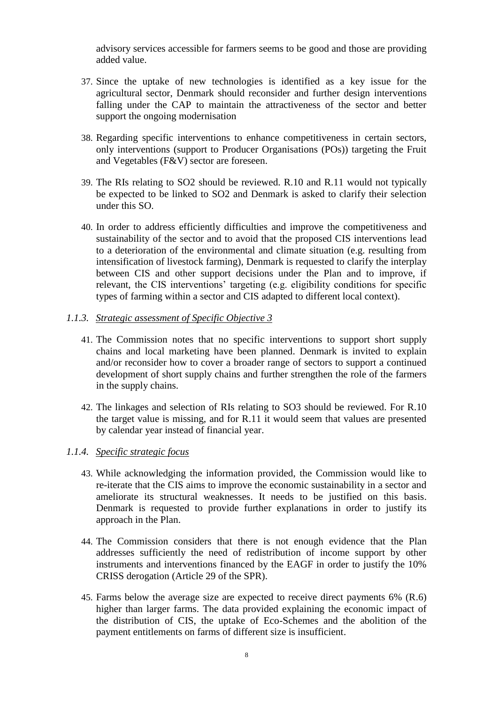advisory services accessible for farmers seems to be good and those are providing added value.

- 37. Since the uptake of new technologies is identified as a key issue for the agricultural sector, Denmark should reconsider and further design interventions falling under the CAP to maintain the attractiveness of the sector and better support the ongoing modernisation
- 38. Regarding specific interventions to enhance competitiveness in certain sectors, only interventions (support to Producer Organisations (POs)) targeting the Fruit and Vegetables (F&V) sector are foreseen.
- 39. The RIs relating to SO2 should be reviewed. R.10 and R.11 would not typically be expected to be linked to SO2 and Denmark is asked to clarify their selection under this SO.
- 40. In order to address efficiently difficulties and improve the competitiveness and sustainability of the sector and to avoid that the proposed CIS interventions lead to a deterioration of the environmental and climate situation (e.g. resulting from intensification of livestock farming), Denmark is requested to clarify the interplay between CIS and other support decisions under the Plan and to improve, if relevant, the CIS interventions' targeting (e.g. eligibility conditions for specific types of farming within a sector and CIS adapted to different local context).
- *1.1.3. Strategic assessment of Specific Objective 3*
	- 41. The Commission notes that no specific interventions to support short supply chains and local marketing have been planned. Denmark is invited to explain and/or reconsider how to cover a broader range of sectors to support a continued development of short supply chains and further strengthen the role of the farmers in the supply chains.
	- 42. The linkages and selection of RIs relating to SO3 should be reviewed. For R.10 the target value is missing, and for R.11 it would seem that values are presented by calendar year instead of financial year.

# *1.1.4. Specific strategic focus*

- 43. While acknowledging the information provided, the Commission would like to re-iterate that the CIS aims to improve the economic sustainability in a sector and ameliorate its structural weaknesses. It needs to be justified on this basis. Denmark is requested to provide further explanations in order to justify its approach in the Plan.
- 44. The Commission considers that there is not enough evidence that the Plan addresses sufficiently the need of redistribution of income support by other instruments and interventions financed by the EAGF in order to justify the 10% CRISS derogation (Article 29 of the SPR).
- 45. Farms below the average size are expected to receive direct payments 6% (R.6) higher than larger farms. The data provided explaining the economic impact of the distribution of CIS, the uptake of Eco-Schemes and the abolition of the payment entitlements on farms of different size is insufficient.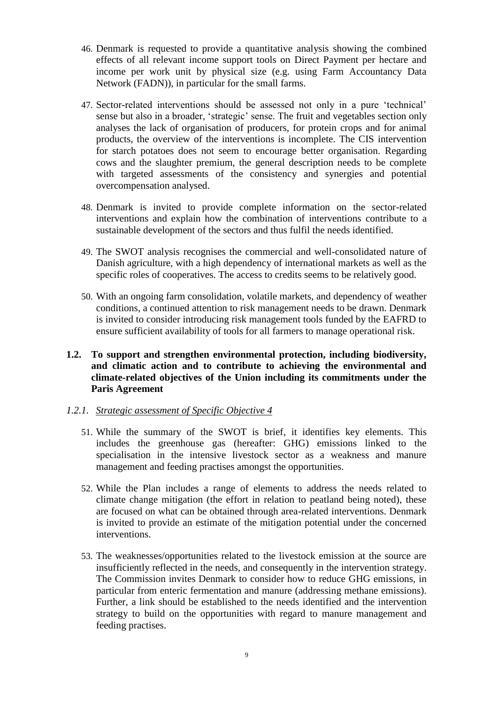- 46. Denmark is requested to provide a quantitative analysis showing the combined effects of all relevant income support tools on Direct Payment per hectare and income per work unit by physical size (e.g. using Farm Accountancy Data Network (FADN)), in particular for the small farms.
- 47. Sector-related interventions should be assessed not only in a pure 'technical' sense but also in a broader, 'strategic' sense. The fruit and vegetables section only analyses the lack of organisation of producers, for protein crops and for animal products, the overview of the interventions is incomplete. The CIS intervention for starch potatoes does not seem to encourage better organisation. Regarding cows and the slaughter premium, the general description needs to be complete with targeted assessments of the consistency and synergies and potential overcompensation analysed.
- 48. Denmark is invited to provide complete information on the sector-related interventions and explain how the combination of interventions contribute to a sustainable development of the sectors and thus fulfil the needs identified.
- 49. The SWOT analysis recognises the commercial and well-consolidated nature of Danish agriculture, with a high dependency of international markets as well as the specific roles of cooperatives. The access to credits seems to be relatively good.
- 50. With an ongoing farm consolidation, volatile markets, and dependency of weather conditions, a continued attention to risk management needs to be drawn. Denmark is invited to consider introducing risk management tools funded by the EAFRD to ensure sufficient availability of tools for all farmers to manage operational risk.
- **1.2. To support and strengthen environmental protection, including biodiversity, and climatic action and to contribute to achieving the environmental and climate-related objectives of the Union including its commitments under the Paris Agreement**

#### *1.2.1. Strategic assessment of Specific Objective 4*

- 51. While the summary of the SWOT is brief, it identifies key elements. This includes the greenhouse gas (hereafter: GHG) emissions linked to the specialisation in the intensive livestock sector as a weakness and manure management and feeding practises amongst the opportunities.
- 52. While the Plan includes a range of elements to address the needs related to climate change mitigation (the effort in relation to peatland being noted), these are focused on what can be obtained through area-related interventions. Denmark is invited to provide an estimate of the mitigation potential under the concerned interventions.
- 53. The weaknesses/opportunities related to the livestock emission at the source are insufficiently reflected in the needs, and consequently in the intervention strategy. The Commission invites Denmark to consider how to reduce GHG emissions, in particular from enteric fermentation and manure (addressing methane emissions). Further, a link should be established to the needs identified and the intervention strategy to build on the opportunities with regard to manure management and feeding practises.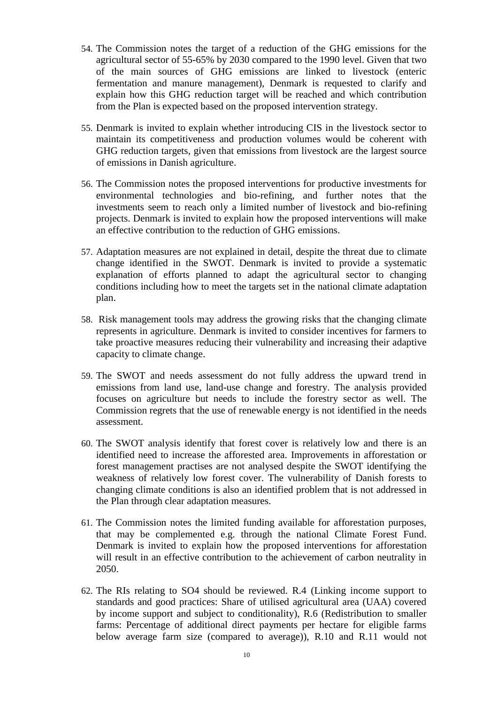- 54. The Commission notes the target of a reduction of the GHG emissions for the agricultural sector of 55-65% by 2030 compared to the 1990 level. Given that two of the main sources of GHG emissions are linked to livestock (enteric fermentation and manure management), Denmark is requested to clarify and explain how this GHG reduction target will be reached and which contribution from the Plan is expected based on the proposed intervention strategy.
- 55. Denmark is invited to explain whether introducing CIS in the livestock sector to maintain its competitiveness and production volumes would be coherent with GHG reduction targets, given that emissions from livestock are the largest source of emissions in Danish agriculture.
- 56. The Commission notes the proposed interventions for productive investments for environmental technologies and bio-refining, and further notes that the investments seem to reach only a limited number of livestock and bio-refining projects. Denmark is invited to explain how the proposed interventions will make an effective contribution to the reduction of GHG emissions.
- 57. Adaptation measures are not explained in detail, despite the threat due to climate change identified in the SWOT. Denmark is invited to provide a systematic explanation of efforts planned to adapt the agricultural sector to changing conditions including how to meet the targets set in the national climate adaptation plan.
- 58. Risk management tools may address the growing risks that the changing climate represents in agriculture. Denmark is invited to consider incentives for farmers to take proactive measures reducing their vulnerability and increasing their adaptive capacity to climate change.
- 59. The SWOT and needs assessment do not fully address the upward trend in emissions from land use, land-use change and forestry. The analysis provided focuses on agriculture but needs to include the forestry sector as well. The Commission regrets that the use of renewable energy is not identified in the needs assessment.
- 60. The SWOT analysis identify that forest cover is relatively low and there is an identified need to increase the afforested area. Improvements in afforestation or forest management practises are not analysed despite the SWOT identifying the weakness of relatively low forest cover. The vulnerability of Danish forests to changing climate conditions is also an identified problem that is not addressed in the Plan through clear adaptation measures.
- 61. The Commission notes the limited funding available for afforestation purposes, that may be complemented e.g. through the national Climate Forest Fund. Denmark is invited to explain how the proposed interventions for afforestation will result in an effective contribution to the achievement of carbon neutrality in 2050.
- 62. The RIs relating to SO4 should be reviewed. R.4 (Linking income support to standards and good practices: Share of utilised agricultural area (UAA) covered by income support and subject to conditionality), R.6 (Redistribution to smaller farms: Percentage of additional direct payments per hectare for eligible farms below average farm size (compared to average)), R.10 and R.11 would not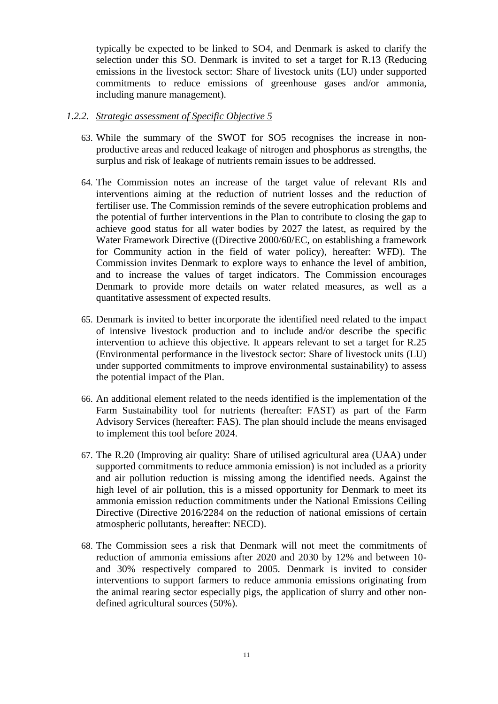typically be expected to be linked to SO4, and Denmark is asked to clarify the selection under this SO. Denmark is invited to set a target for R.13 (Reducing emissions in the livestock sector: Share of livestock units (LU) under supported commitments to reduce emissions of greenhouse gases and/or ammonia, including manure management).

### *1.2.2. Strategic assessment of Specific Objective 5*

- 63. While the summary of the SWOT for SO5 recognises the increase in nonproductive areas and reduced leakage of nitrogen and phosphorus as strengths, the surplus and risk of leakage of nutrients remain issues to be addressed.
- 64. The Commission notes an increase of the target value of relevant RIs and interventions aiming at the reduction of nutrient losses and the reduction of fertiliser use. The Commission reminds of the severe eutrophication problems and the potential of further interventions in the Plan to contribute to closing the gap to achieve good status for all water bodies by 2027 the latest, as required by the Water Framework Directive ((Directive 2000/60/EC, on establishing a framework for Community action in the field of water policy), hereafter: WFD). The Commission invites Denmark to explore ways to enhance the level of ambition, and to increase the values of target indicators. The Commission encourages Denmark to provide more details on water related measures, as well as a quantitative assessment of expected results.
- 65. Denmark is invited to better incorporate the identified need related to the impact of intensive livestock production and to include and/or describe the specific intervention to achieve this objective. It appears relevant to set a target for R.25 (Environmental performance in the livestock sector: Share of livestock units (LU) under supported commitments to improve environmental sustainability) to assess the potential impact of the Plan.
- 66. An additional element related to the needs identified is the implementation of the Farm Sustainability tool for nutrients (hereafter: FAST) as part of the Farm Advisory Services (hereafter: FAS). The plan should include the means envisaged to implement this tool before 2024.
- 67. The R.20 (Improving air quality: Share of utilised agricultural area (UAA) under supported commitments to reduce ammonia emission) is not included as a priority and air pollution reduction is missing among the identified needs. Against the high level of air pollution, this is a missed opportunity for Denmark to meet its ammonia emission reduction commitments under the National Emissions Ceiling Directive (Directive 2016/2284 on the reduction of national emissions of certain atmospheric pollutants, hereafter: NECD).
- 68. The Commission sees a risk that Denmark will not meet the commitments of reduction of ammonia emissions after 2020 and 2030 by 12% and between 10 and 30% respectively compared to 2005. Denmark is invited to consider interventions to support farmers to reduce ammonia emissions originating from the animal rearing sector especially pigs, the application of slurry and other nondefined agricultural sources (50%).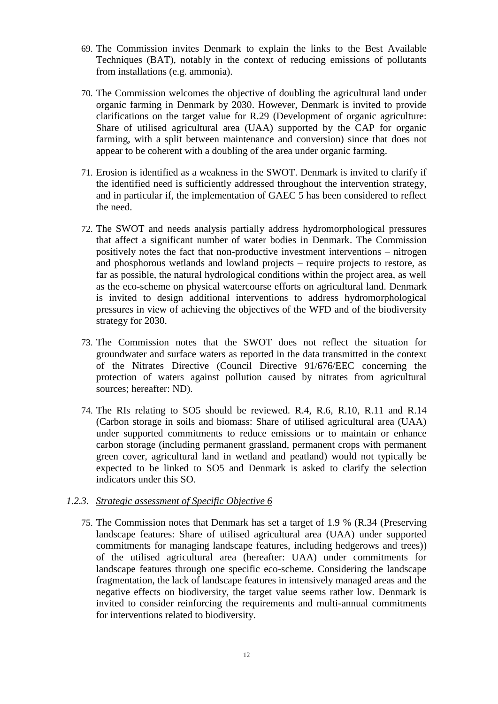- 69. The Commission invites Denmark to explain the links to the Best Available Techniques (BAT), notably in the context of reducing emissions of pollutants from installations (e.g. ammonia).
- 70. The Commission welcomes the objective of doubling the agricultural land under organic farming in Denmark by 2030. However, Denmark is invited to provide clarifications on the target value for R.29 (Development of organic agriculture: Share of utilised agricultural area (UAA) supported by the CAP for organic farming, with a split between maintenance and conversion) since that does not appear to be coherent with a doubling of the area under organic farming.
- 71. Erosion is identified as a weakness in the SWOT. Denmark is invited to clarify if the identified need is sufficiently addressed throughout the intervention strategy, and in particular if, the implementation of GAEC 5 has been considered to reflect the need.
- 72. The SWOT and needs analysis partially address hydromorphological pressures that affect a significant number of water bodies in Denmark. The Commission positively notes the fact that non-productive investment interventions – nitrogen and phosphorous wetlands and lowland projects – require projects to restore, as far as possible, the natural hydrological conditions within the project area, as well as the eco-scheme on physical watercourse efforts on agricultural land. Denmark is invited to design additional interventions to address hydromorphological pressures in view of achieving the objectives of the WFD and of the biodiversity strategy for 2030.
- 73. The Commission notes that the SWOT does not reflect the situation for groundwater and surface waters as reported in the data transmitted in the context of the Nitrates Directive (Council Directive 91/676/EEC concerning the protection of waters against pollution caused by nitrates from agricultural sources; hereafter: ND).
- 74. The RIs relating to SO5 should be reviewed. R.4, R.6, R.10, R.11 and R.14 (Carbon storage in soils and biomass: Share of utilised agricultural area (UAA) under supported commitments to reduce emissions or to maintain or enhance carbon storage (including permanent grassland, permanent crops with permanent green cover, agricultural land in wetland and peatland) would not typically be expected to be linked to SO5 and Denmark is asked to clarify the selection indicators under this SO.

### *1.2.3. Strategic assessment of Specific Objective 6*

75. The Commission notes that Denmark has set a target of 1.9 % (R.34 (Preserving landscape features: Share of utilised agricultural area (UAA) under supported commitments for managing landscape features, including hedgerows and trees)) of the utilised agricultural area (hereafter: UAA) under commitments for landscape features through one specific eco-scheme. Considering the landscape fragmentation, the lack of landscape features in intensively managed areas and the negative effects on biodiversity, the target value seems rather low. Denmark is invited to consider reinforcing the requirements and multi-annual commitments for interventions related to biodiversity.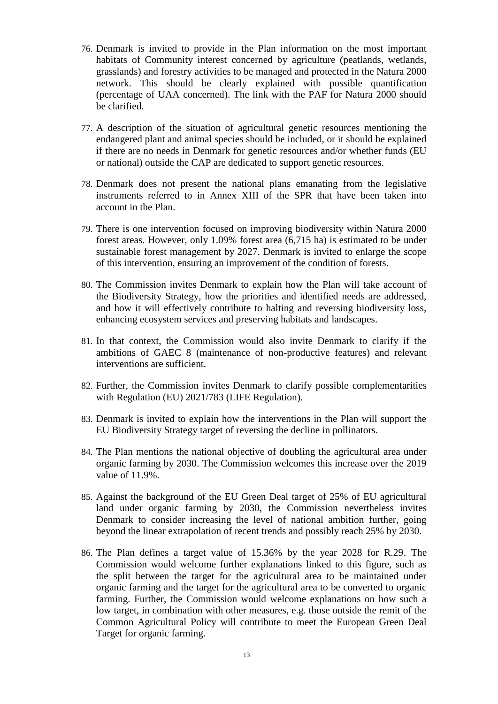- 76. Denmark is invited to provide in the Plan information on the most important habitats of Community interest concerned by agriculture (peatlands, wetlands, grasslands) and forestry activities to be managed and protected in the Natura 2000 network. This should be clearly explained with possible quantification (percentage of UAA concerned). The link with the PAF for Natura 2000 should be clarified.
- 77. A description of the situation of agricultural genetic resources mentioning the endangered plant and animal species should be included, or it should be explained if there are no needs in Denmark for genetic resources and/or whether funds (EU or national) outside the CAP are dedicated to support genetic resources.
- 78. Denmark does not present the national plans emanating from the legislative instruments referred to in Annex XIII of the SPR that have been taken into account in the Plan.
- 79. There is one intervention focused on improving biodiversity within Natura 2000 forest areas. However, only 1.09% forest area (6,715 ha) is estimated to be under sustainable forest management by 2027. Denmark is invited to enlarge the scope of this intervention, ensuring an improvement of the condition of forests.
- 80. The Commission invites Denmark to explain how the Plan will take account of the Biodiversity Strategy, how the priorities and identified needs are addressed, and how it will effectively contribute to halting and reversing biodiversity loss, enhancing ecosystem services and preserving habitats and landscapes.
- 81. In that context, the Commission would also invite Denmark to clarify if the ambitions of GAEC 8 (maintenance of non-productive features) and relevant interventions are sufficient.
- 82. Further, the Commission invites Denmark to clarify possible complementarities with Regulation (EU) 2021/783 (LIFE Regulation).
- 83. Denmark is invited to explain how the interventions in the Plan will support the EU Biodiversity Strategy target of reversing the decline in pollinators.
- 84. The Plan mentions the national objective of doubling the agricultural area under organic farming by 2030. The Commission welcomes this increase over the 2019 value of 11.9%.
- 85. Against the background of the EU Green Deal target of 25% of EU agricultural land under organic farming by 2030, the Commission nevertheless invites Denmark to consider increasing the level of national ambition further, going beyond the linear extrapolation of recent trends and possibly reach 25% by 2030.
- 86. The Plan defines a target value of 15.36% by the year 2028 for R.29. The Commission would welcome further explanations linked to this figure, such as the split between the target for the agricultural area to be maintained under organic farming and the target for the agricultural area to be converted to organic farming. Further, the Commission would welcome explanations on how such a low target, in combination with other measures, e.g. those outside the remit of the Common Agricultural Policy will contribute to meet the European Green Deal Target for organic farming.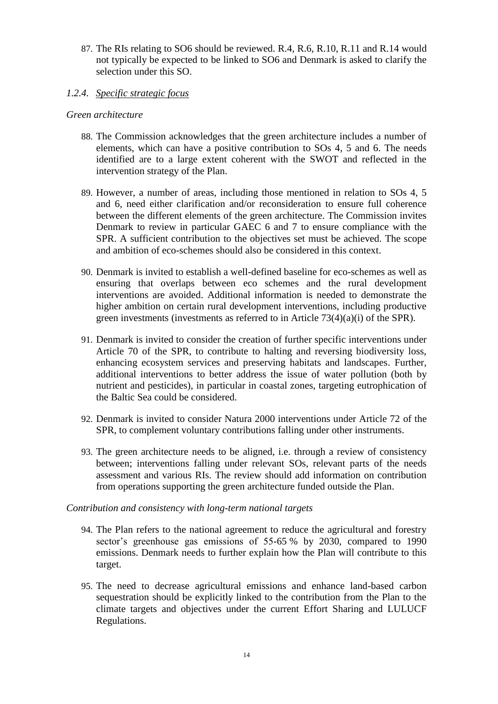87. The RIs relating to SO6 should be reviewed. R.4, R.6, R.10, R.11 and R.14 would not typically be expected to be linked to SO6 and Denmark is asked to clarify the selection under this SO.

# *1.2.4. Specific strategic focus*

# *Green architecture*

- 88. The Commission acknowledges that the green architecture includes a number of elements, which can have a positive contribution to SOs 4, 5 and 6. The needs identified are to a large extent coherent with the SWOT and reflected in the intervention strategy of the Plan.
- 89. However, a number of areas, including those mentioned in relation to SOs 4, 5 and 6, need either clarification and/or reconsideration to ensure full coherence between the different elements of the green architecture. The Commission invites Denmark to review in particular GAEC 6 and 7 to ensure compliance with the SPR. A sufficient contribution to the objectives set must be achieved. The scope and ambition of eco-schemes should also be considered in this context.
- 90. Denmark is invited to establish a well-defined baseline for eco-schemes as well as ensuring that overlaps between eco schemes and the rural development interventions are avoided. Additional information is needed to demonstrate the higher ambition on certain rural development interventions, including productive green investments (investments as referred to in Article 73(4)(a)(i) of the SPR).
- 91. Denmark is invited to consider the creation of further specific interventions under Article 70 of the SPR, to contribute to halting and reversing biodiversity loss, enhancing ecosystem services and preserving habitats and landscapes. Further, additional interventions to better address the issue of water pollution (both by nutrient and pesticides), in particular in coastal zones, targeting eutrophication of the Baltic Sea could be considered.
- 92. Denmark is invited to consider Natura 2000 interventions under Article 72 of the SPR, to complement voluntary contributions falling under other instruments.
- 93. The green architecture needs to be aligned, i.e. through a review of consistency between; interventions falling under relevant SOs, relevant parts of the needs assessment and various RIs. The review should add information on contribution from operations supporting the green architecture funded outside the Plan.

# *Contribution and consistency with long-term national targets*

- 94. The Plan refers to the national agreement to reduce the agricultural and forestry sector's greenhouse gas emissions of 55-65 % by 2030, compared to 1990 emissions. Denmark needs to further explain how the Plan will contribute to this target.
- 95. The need to decrease agricultural emissions and enhance land-based carbon sequestration should be explicitly linked to the contribution from the Plan to the climate targets and objectives under the current Effort Sharing and LULUCF Regulations.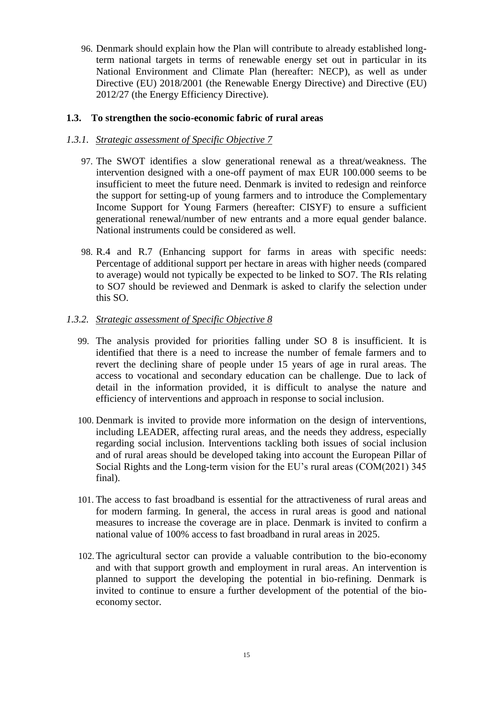96. Denmark should explain how the Plan will contribute to already established longterm national targets in terms of renewable energy set out in particular in its National Environment and Climate Plan (hereafter: NECP), as well as under Directive (EU) 2018/2001 (the Renewable Energy Directive) and Directive (EU) 2012/27 (the Energy Efficiency Directive).

# **1.3. To strengthen the socio-economic fabric of rural areas**

# *1.3.1. Strategic assessment of Specific Objective 7*

- 97. The SWOT identifies a slow generational renewal as a threat/weakness. The intervention designed with a one-off payment of max EUR 100.000 seems to be insufficient to meet the future need. Denmark is invited to redesign and reinforce the support for setting-up of young farmers and to introduce the Complementary Income Support for Young Farmers (hereafter: CISYF) to ensure a sufficient generational renewal/number of new entrants and a more equal gender balance. National instruments could be considered as well.
- 98. R.4 and R.7 (Enhancing support for farms in areas with specific needs: Percentage of additional support per hectare in areas with higher needs (compared to average) would not typically be expected to be linked to SO7. The RIs relating to SO7 should be reviewed and Denmark is asked to clarify the selection under this SO.

# *1.3.2. Strategic assessment of Specific Objective 8*

- 99. The analysis provided for priorities falling under SO 8 is insufficient. It is identified that there is a need to increase the number of female farmers and to revert the declining share of people under 15 years of age in rural areas. The access to vocational and secondary education can be challenge. Due to lack of detail in the information provided, it is difficult to analyse the nature and efficiency of interventions and approach in response to social inclusion.
- 100. Denmark is invited to provide more information on the design of interventions, including LEADER, affecting rural areas, and the needs they address, especially regarding social inclusion. Interventions tackling both issues of social inclusion and of rural areas should be developed taking into account the European Pillar of Social Rights and the Long-term vision for the EU's rural areas (COM(2021) 345 final).
- 101. The access to fast broadband is essential for the attractiveness of rural areas and for modern farming. In general, the access in rural areas is good and national measures to increase the coverage are in place. Denmark is invited to confirm a national value of 100% access to fast broadband in rural areas in 2025.
- 102. The agricultural sector can provide a valuable contribution to the bio-economy and with that support growth and employment in rural areas. An intervention is planned to support the developing the potential in bio-refining. Denmark is invited to continue to ensure a further development of the potential of the bioeconomy sector.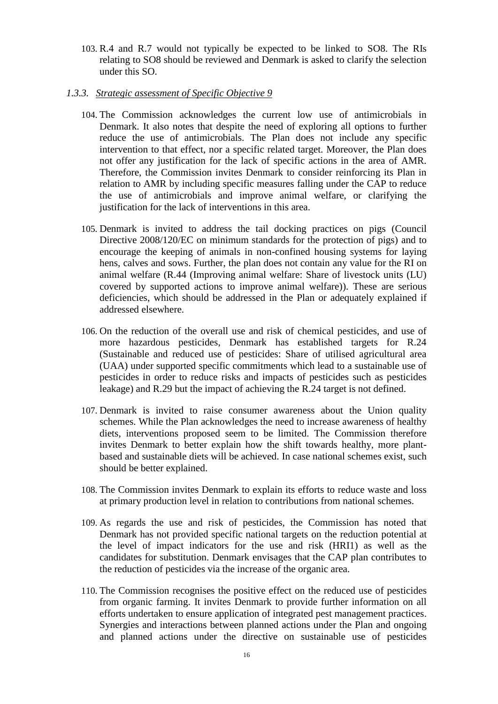103. R.4 and R.7 would not typically be expected to be linked to SO8. The RIs relating to SO8 should be reviewed and Denmark is asked to clarify the selection under this SO.

### *1.3.3. Strategic assessment of Specific Objective 9*

- 104. The Commission acknowledges the current low use of antimicrobials in Denmark. It also notes that despite the need of exploring all options to further reduce the use of antimicrobials. The Plan does not include any specific intervention to that effect, nor a specific related target. Moreover, the Plan does not offer any justification for the lack of specific actions in the area of AMR. Therefore, the Commission invites Denmark to consider reinforcing its Plan in relation to AMR by including specific measures falling under the CAP to reduce the use of antimicrobials and improve animal welfare, or clarifying the justification for the lack of interventions in this area.
- 105. Denmark is invited to address the tail docking practices on pigs (Council Directive 2008/120/EC on minimum standards for the protection of pigs) and to encourage the keeping of animals in non-confined housing systems for laying hens, calves and sows. Further, the plan does not contain any value for the RI on animal welfare (R.44 (Improving animal welfare: Share of livestock units (LU) covered by supported actions to improve animal welfare)). These are serious deficiencies, which should be addressed in the Plan or adequately explained if addressed elsewhere.
- 106. On the reduction of the overall use and risk of chemical pesticides, and use of more hazardous pesticides, Denmark has established targets for R.24 (Sustainable and reduced use of pesticides: Share of utilised agricultural area (UAA) under supported specific commitments which lead to a sustainable use of pesticides in order to reduce risks and impacts of pesticides such as pesticides leakage) and R.29 but the impact of achieving the R.24 target is not defined.
- 107. Denmark is invited to raise consumer awareness about the Union quality schemes. While the Plan acknowledges the need to increase awareness of healthy diets, interventions proposed seem to be limited. The Commission therefore invites Denmark to better explain how the shift towards healthy, more plantbased and sustainable diets will be achieved. In case national schemes exist, such should be better explained.
- 108. The Commission invites Denmark to explain its efforts to reduce waste and loss at primary production level in relation to contributions from national schemes.
- 109. As regards the use and risk of pesticides, the Commission has noted that Denmark has not provided specific national targets on the reduction potential at the level of impact indicators for the use and risk (HRI1) as well as the candidates for substitution. Denmark envisages that the CAP plan contributes to the reduction of pesticides via the increase of the organic area.
- 110. The Commission recognises the positive effect on the reduced use of pesticides from organic farming. It invites Denmark to provide further information on all efforts undertaken to ensure application of integrated pest management practices. Synergies and interactions between planned actions under the Plan and ongoing and planned actions under the directive on sustainable use of pesticides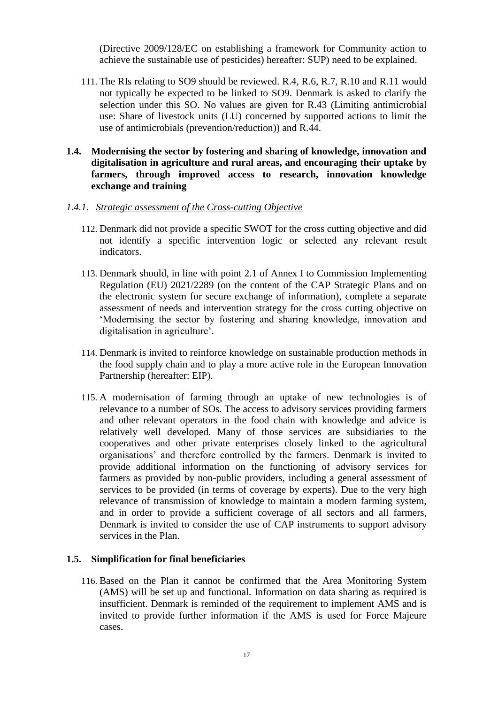(Directive 2009/128/EC on establishing a framework for Community action to achieve the sustainable use of pesticides) hereafter: SUP) need to be explained.

- 111. The RIs relating to SO9 should be reviewed. R.4, R.6, R.7, R.10 and R.11 would not typically be expected to be linked to SO9. Denmark is asked to clarify the selection under this SO. No values are given for R.43 (Limiting antimicrobial use: Share of livestock units (LU) concerned by supported actions to limit the use of antimicrobials (prevention/reduction)) and R.44.
- **1.4. Modernising the sector by fostering and sharing of knowledge, innovation and digitalisation in agriculture and rural areas, and encouraging their uptake by farmers, through improved access to research, innovation knowledge exchange and training**

#### *1.4.1. Strategic assessment of the Cross-cutting Objective*

- 112. Denmark did not provide a specific SWOT for the cross cutting objective and did not identify a specific intervention logic or selected any relevant result indicators.
- 113. Denmark should, in line with point 2.1 of Annex I to Commission Implementing Regulation (EU) 2021/2289 (on the content of the CAP Strategic Plans and on the electronic system for secure exchange of information), complete a separate assessment of needs and intervention strategy for the cross cutting objective on 'Modernising the sector by fostering and sharing knowledge, innovation and digitalisation in agriculture'.
- 114. Denmark is invited to reinforce knowledge on sustainable production methods in the food supply chain and to play a more active role in the European Innovation Partnership (hereafter: EIP).
- 115. A modernisation of farming through an uptake of new technologies is of relevance to a number of SOs. The access to advisory services providing farmers and other relevant operators in the food chain with knowledge and advice is relatively well developed. Many of those services are subsidiaries to the cooperatives and other private enterprises closely linked to the agricultural organisations' and therefore controlled by the farmers. Denmark is invited to provide additional information on the functioning of advisory services for farmers as provided by non-public providers, including a general assessment of services to be provided (in terms of coverage by experts). Due to the very high relevance of transmission of knowledge to maintain a modern farming system, and in order to provide a sufficient coverage of all sectors and all farmers, Denmark is invited to consider the use of CAP instruments to support advisory services in the Plan.

#### **1.5. Simplification for final beneficiaries**

116. Based on the Plan it cannot be confirmed that the Area Monitoring System (AMS) will be set up and functional. Information on data sharing as required is insufficient. Denmark is reminded of the requirement to implement AMS and is invited to provide further information if the AMS is used for Force Majeure cases.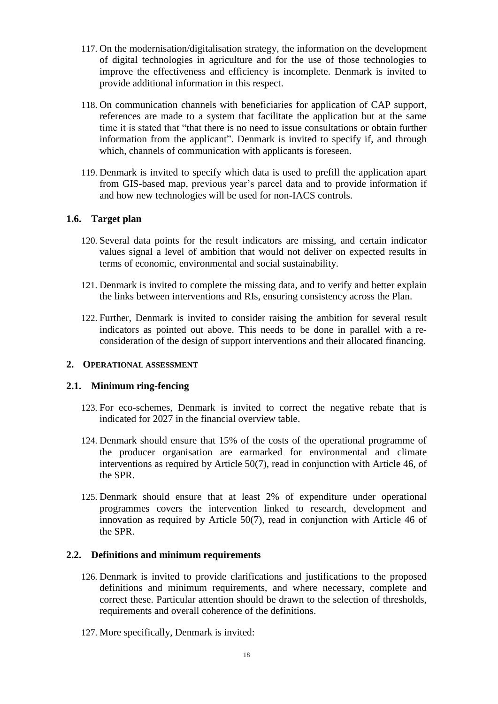- 117. On the modernisation/digitalisation strategy, the information on the development of digital technologies in agriculture and for the use of those technologies to improve the effectiveness and efficiency is incomplete. Denmark is invited to provide additional information in this respect.
- 118. On communication channels with beneficiaries for application of CAP support, references are made to a system that facilitate the application but at the same time it is stated that "that there is no need to issue consultations or obtain further information from the applicant". Denmark is invited to specify if, and through which, channels of communication with applicants is foreseen.
- 119. Denmark is invited to specify which data is used to prefill the application apart from GIS-based map, previous year's parcel data and to provide information if and how new technologies will be used for non-IACS controls.

# **1.6. Target plan**

- 120. Several data points for the result indicators are missing, and certain indicator values signal a level of ambition that would not deliver on expected results in terms of economic, environmental and social sustainability.
- 121. Denmark is invited to complete the missing data, and to verify and better explain the links between interventions and RIs, ensuring consistency across the Plan.
- 122. Further, Denmark is invited to consider raising the ambition for several result indicators as pointed out above. This needs to be done in parallel with a reconsideration of the design of support interventions and their allocated financing.

#### **2. OPERATIONAL ASSESSMENT**

#### **2.1. Minimum ring-fencing**

- 123. For eco-schemes, Denmark is invited to correct the negative rebate that is indicated for 2027 in the financial overview table.
- 124. Denmark should ensure that 15% of the costs of the operational programme of the producer organisation are earmarked for environmental and climate interventions as required by Article 50(7), read in conjunction with Article 46, of the SPR.
- 125. Denmark should ensure that at least 2% of expenditure under operational programmes covers the intervention linked to research, development and innovation as required by Article 50(7), read in conjunction with Article 46 of the SPR.

#### **2.2. Definitions and minimum requirements**

- 126. Denmark is invited to provide clarifications and justifications to the proposed definitions and minimum requirements, and where necessary, complete and correct these. Particular attention should be drawn to the selection of thresholds, requirements and overall coherence of the definitions.
- 127. More specifically, Denmark is invited: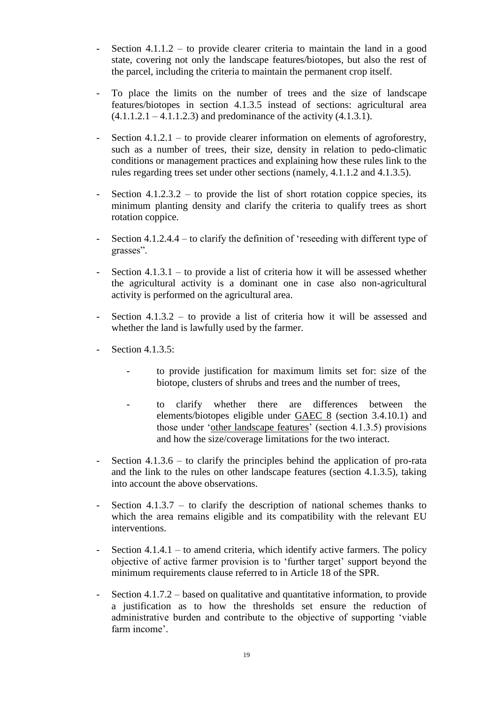- Section 4.1.1.2 to provide clearer criteria to maintain the land in a good state, covering not only the landscape features/biotopes, but also the rest of the parcel, including the criteria to maintain the permanent crop itself.
- To place the limits on the number of trees and the size of landscape features/biotopes in section 4.1.3.5 instead of sections: agricultural area  $(4.1.1.2.1 - 4.1.1.2.3)$  and predominance of the activity  $(4.1.3.1)$ .
- Section  $4.1.2.1$  to provide clearer information on elements of agroforestry, such as a number of trees, their size, density in relation to pedo-climatic conditions or management practices and explaining how these rules link to the rules regarding trees set under other sections (namely, 4.1.1.2 and 4.1.3.5).
- Section  $4.1.2.3.2$  to provide the list of short rotation coppice species, its minimum planting density and clarify the criteria to qualify trees as short rotation coppice.
- Section  $4.1.2.4.4$  to clarify the definition of 'reseeding with different type of grasses".
- Section  $4.1.3.1$  to provide a list of criteria how it will be assessed whether the agricultural activity is a dominant one in case also non-agricultural activity is performed on the agricultural area.
- Section 4.1.3.2 to provide a list of criteria how it will be assessed and whether the land is lawfully used by the farmer.
- Section 4.1.3.5:
	- to provide justification for maximum limits set for: size of the biotope, clusters of shrubs and trees and the number of trees,
	- to clarify whether there are differences between the elements/biotopes eligible under GAEC 8 (section 3.4.10.1) and those under 'other landscape features' (section 4.1.3.5) provisions and how the size/coverage limitations for the two interact.
- Section 4.1.3.6 to clarify the principles behind the application of pro-rata and the link to the rules on other landscape features (section 4.1.3.5), taking into account the above observations.
- Section 4.1.3.7 to clarify the description of national schemes thanks to which the area remains eligible and its compatibility with the relevant EU interventions.
- Section 4.1.4.1 to amend criteria, which identify active farmers. The policy objective of active farmer provision is to 'further target' support beyond the minimum requirements clause referred to in Article 18 of the SPR.
- Section 4.1.7.2 based on qualitative and quantitative information, to provide a justification as to how the thresholds set ensure the reduction of administrative burden and contribute to the objective of supporting 'viable farm income'.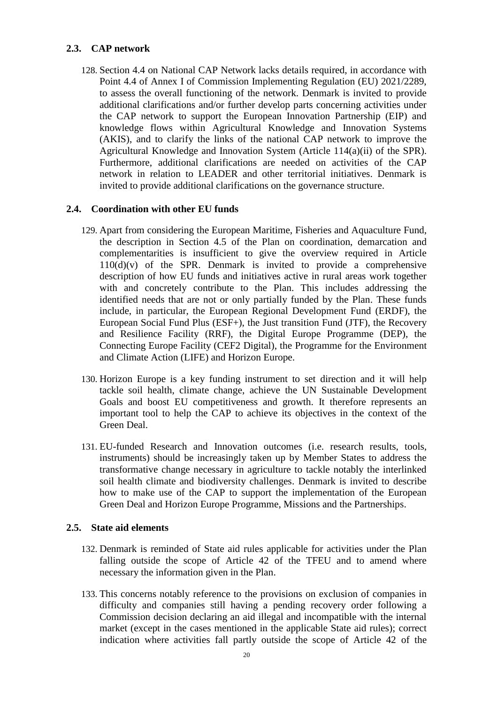# **2.3. CAP network**

128. Section 4.4 on National CAP Network lacks details required, in accordance with Point 4.4 of Annex I of Commission Implementing Regulation (EU) 2021/2289, to assess the overall functioning of the network. Denmark is invited to provide additional clarifications and/or further develop parts concerning activities under the CAP network to support the European Innovation Partnership (EIP) and knowledge flows within Agricultural Knowledge and Innovation Systems (AKIS), and to clarify the links of the national CAP network to improve the Agricultural Knowledge and Innovation System (Article 114(a)(ii) of the SPR). Furthermore, additional clarifications are needed on activities of the CAP network in relation to LEADER and other territorial initiatives. Denmark is invited to provide additional clarifications on the governance structure.

# **2.4. Coordination with other EU funds**

- 129. Apart from considering the European Maritime, Fisheries and Aquaculture Fund, the description in Section 4.5 of the Plan on coordination, demarcation and complementarities is insufficient to give the overview required in Article  $110(d)(v)$  of the SPR. Denmark is invited to provide a comprehensive description of how EU funds and initiatives active in rural areas work together with and concretely contribute to the Plan. This includes addressing the identified needs that are not or only partially funded by the Plan. These funds include, in particular, the European Regional Development Fund (ERDF), the European Social Fund Plus (ESF+), the Just transition Fund (JTF), the Recovery and Resilience Facility (RRF), the Digital Europe Programme (DEP), the Connecting Europe Facility (CEF2 Digital), the Programme for the Environment and Climate Action (LIFE) and Horizon Europe.
- 130. Horizon Europe is a key funding instrument to set direction and it will help tackle soil health, climate change, achieve the UN Sustainable Development Goals and boost EU competitiveness and growth. It therefore represents an important tool to help the CAP to achieve its objectives in the context of the Green Deal.
- 131. EU-funded Research and Innovation outcomes (i.e. research results, tools, instruments) should be increasingly taken up by Member States to address the transformative change necessary in agriculture to tackle notably the interlinked soil health climate and biodiversity challenges. Denmark is invited to describe how to make use of the CAP to support the implementation of the European Green Deal and Horizon Europe Programme, Missions and the Partnerships.

# **2.5. State aid elements**

- 132. Denmark is reminded of State aid rules applicable for activities under the Plan falling outside the scope of Article 42 of the TFEU and to amend where necessary the information given in the Plan.
- 133. This concerns notably reference to the provisions on exclusion of companies in difficulty and companies still having a pending recovery order following a Commission decision declaring an aid illegal and incompatible with the internal market (except in the cases mentioned in the applicable State aid rules); correct indication where activities fall partly outside the scope of Article 42 of the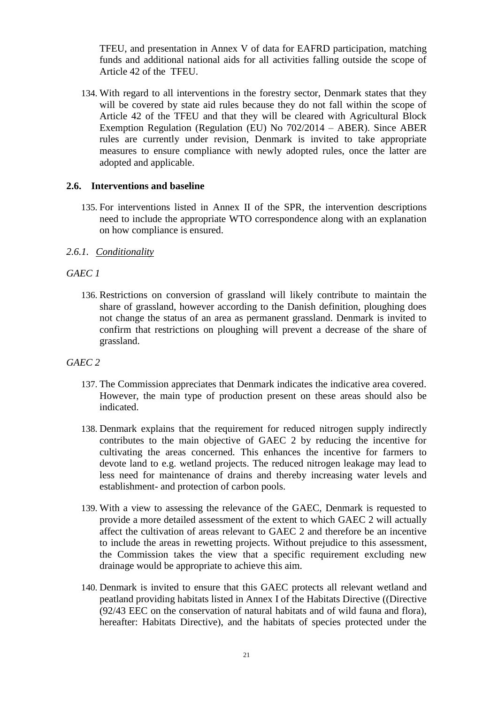TFEU, and presentation in Annex V of data for EAFRD participation, matching funds and additional national aids for all activities falling outside the scope of Article 42 of the TFEU.

134. With regard to all interventions in the forestry sector, Denmark states that they will be covered by state aid rules because they do not fall within the scope of Article 42 of the TFEU and that they will be cleared with Agricultural Block Exemption Regulation (Regulation (EU) No 702/2014 – ABER). Since ABER rules are currently under revision, Denmark is invited to take appropriate measures to ensure compliance with newly adopted rules, once the latter are adopted and applicable.

# **2.6. Interventions and baseline**

- 135. For interventions listed in Annex II of the SPR, the intervention descriptions need to include the appropriate WTO correspondence along with an explanation on how compliance is ensured.
- *2.6.1. Conditionality*

# *GAEC 1*

136. Restrictions on conversion of grassland will likely contribute to maintain the share of grassland, however according to the Danish definition, ploughing does not change the status of an area as permanent grassland. Denmark is invited to confirm that restrictions on ploughing will prevent a decrease of the share of grassland.

# *GAEC 2*

- 137. The Commission appreciates that Denmark indicates the indicative area covered. However, the main type of production present on these areas should also be indicated.
- 138. Denmark explains that the requirement for reduced nitrogen supply indirectly contributes to the main objective of GAEC 2 by reducing the incentive for cultivating the areas concerned. This enhances the incentive for farmers to devote land to e.g. wetland projects. The reduced nitrogen leakage may lead to less need for maintenance of drains and thereby increasing water levels and establishment- and protection of carbon pools.
- 139. With a view to assessing the relevance of the GAEC, Denmark is requested to provide a more detailed assessment of the extent to which GAEC 2 will actually affect the cultivation of areas relevant to GAEC 2 and therefore be an incentive to include the areas in rewetting projects. Without prejudice to this assessment, the Commission takes the view that a specific requirement excluding new drainage would be appropriate to achieve this aim.
- 140. Denmark is invited to ensure that this GAEC protects all relevant wetland and peatland providing habitats listed in Annex I of the Habitats Directive ((Directive (92/43 EEC on the conservation of natural habitats and of wild fauna and flora), hereafter: Habitats Directive), and the habitats of species protected under the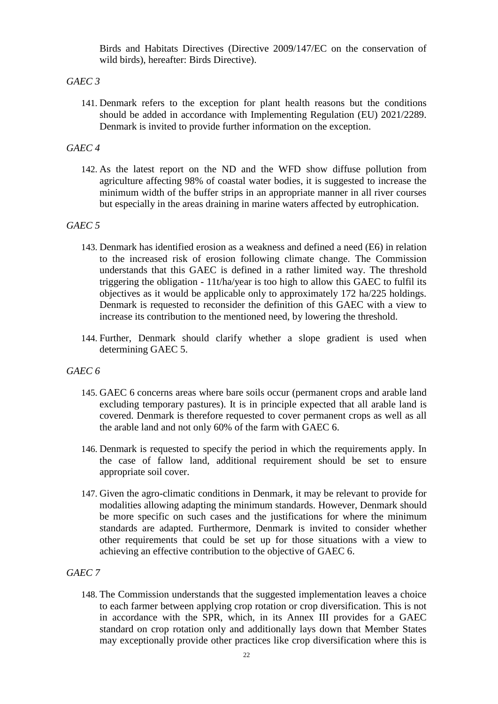Birds and Habitats Directives (Directive 2009/147/EC on the conservation of wild birds), hereafter: Birds Directive).

# *GAEC 3*

141. Denmark refers to the exception for plant health reasons but the conditions should be added in accordance with Implementing Regulation (EU) 2021/2289. Denmark is invited to provide further information on the exception.

# *GAEC 4*

142. As the latest report on the ND and the WFD show diffuse pollution from agriculture affecting 98% of coastal water bodies, it is suggested to increase the minimum width of the buffer strips in an appropriate manner in all river courses but especially in the areas draining in marine waters affected by eutrophication.

# *GAEC 5*

- 143. Denmark has identified erosion as a weakness and defined a need (E6) in relation to the increased risk of erosion following climate change. The Commission understands that this GAEC is defined in a rather limited way. The threshold triggering the obligation - 11t/ha/year is too high to allow this GAEC to fulfil its objectives as it would be applicable only to approximately 172 ha/225 holdings. Denmark is requested to reconsider the definition of this GAEC with a view to increase its contribution to the mentioned need, by lowering the threshold.
- 144. Further, Denmark should clarify whether a slope gradient is used when determining GAEC 5.

# *GAEC 6*

- 145. GAEC 6 concerns areas where bare soils occur (permanent crops and arable land excluding temporary pastures). It is in principle expected that all arable land is covered. Denmark is therefore requested to cover permanent crops as well as all the arable land and not only 60% of the farm with GAEC 6.
- 146. Denmark is requested to specify the period in which the requirements apply. In the case of fallow land, additional requirement should be set to ensure appropriate soil cover.
- 147. Given the agro-climatic conditions in Denmark, it may be relevant to provide for modalities allowing adapting the minimum standards. However, Denmark should be more specific on such cases and the justifications for where the minimum standards are adapted. Furthermore, Denmark is invited to consider whether other requirements that could be set up for those situations with a view to achieving an effective contribution to the objective of GAEC 6.

# *GAEC 7*

148. The Commission understands that the suggested implementation leaves a choice to each farmer between applying crop rotation or crop diversification. This is not in accordance with the SPR, which, in its Annex III provides for a GAEC standard on crop rotation only and additionally lays down that Member States may exceptionally provide other practices like crop diversification where this is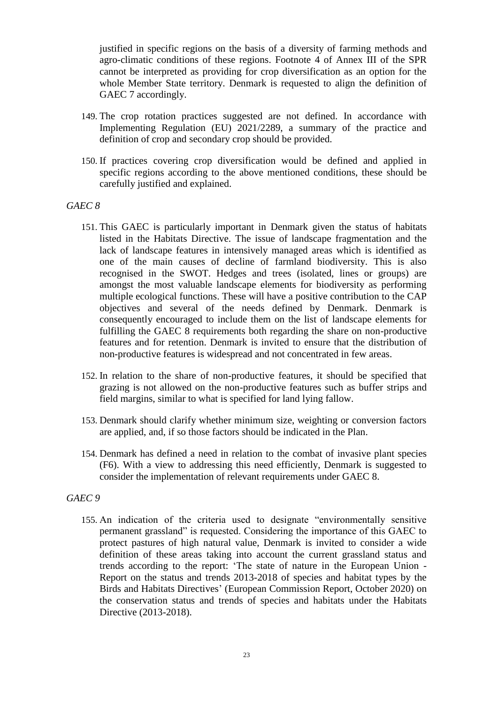justified in specific regions on the basis of a diversity of farming methods and agro-climatic conditions of these regions. Footnote 4 of Annex III of the SPR cannot be interpreted as providing for crop diversification as an option for the whole Member State territory. Denmark is requested to align the definition of GAEC 7 accordingly.

- 149. The crop rotation practices suggested are not defined. In accordance with Implementing Regulation (EU) 2021/2289, a summary of the practice and definition of crop and secondary crop should be provided.
- 150. If practices covering crop diversification would be defined and applied in specific regions according to the above mentioned conditions, these should be carefully justified and explained.

### *GAEC 8*

- 151. This GAEC is particularly important in Denmark given the status of habitats listed in the Habitats Directive. The issue of landscape fragmentation and the lack of landscape features in intensively managed areas which is identified as one of the main causes of decline of farmland biodiversity. This is also recognised in the SWOT. Hedges and trees (isolated, lines or groups) are amongst the most valuable landscape elements for biodiversity as performing multiple ecological functions. These will have a positive contribution to the CAP objectives and several of the needs defined by Denmark. Denmark is consequently encouraged to include them on the list of landscape elements for fulfilling the GAEC 8 requirements both regarding the share on non-productive features and for retention. Denmark is invited to ensure that the distribution of non-productive features is widespread and not concentrated in few areas.
- 152. In relation to the share of non-productive features, it should be specified that grazing is not allowed on the non-productive features such as buffer strips and field margins, similar to what is specified for land lying fallow.
- 153. Denmark should clarify whether minimum size, weighting or conversion factors are applied, and, if so those factors should be indicated in the Plan.
- 154. Denmark has defined a need in relation to the combat of invasive plant species (F6). With a view to addressing this need efficiently, Denmark is suggested to consider the implementation of relevant requirements under GAEC 8.

### *GAEC 9*

155. An indication of the criteria used to designate "environmentally sensitive permanent grassland" is requested. Considering the importance of this GAEC to protect pastures of high natural value, Denmark is invited to consider a wide definition of these areas taking into account the current grassland status and trends according to the report: 'The state of nature in the European Union - Report on the status and trends 2013-2018 of species and habitat types by the Birds and Habitats Directives' (European Commission Report, October 2020) on the conservation status and trends of species and habitats under the Habitats Directive (2013-2018).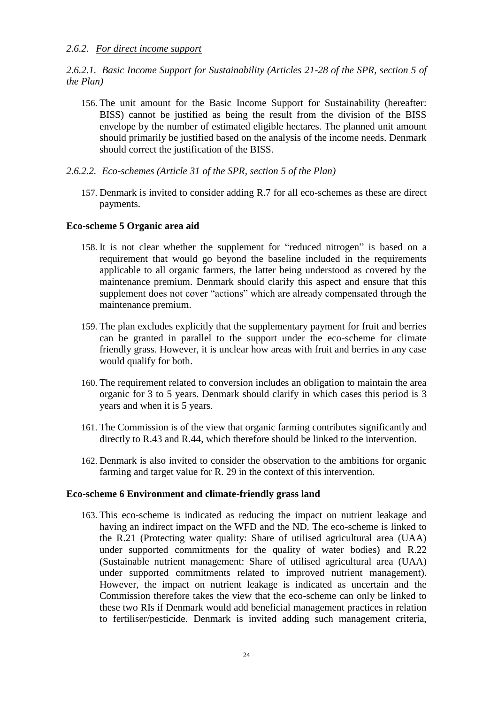*2.6.2.1. Basic Income Support for Sustainability (Articles 21-28 of the SPR, section 5 of the Plan)*

- 156. The unit amount for the Basic Income Support for Sustainability (hereafter: BISS) cannot be justified as being the result from the division of the BISS envelope by the number of estimated eligible hectares. The planned unit amount should primarily be justified based on the analysis of the income needs. Denmark should correct the justification of the BISS.
- *2.6.2.2. Eco-schemes (Article 31 of the SPR, section 5 of the Plan)*
	- 157. Denmark is invited to consider adding R.7 for all eco-schemes as these are direct payments.

# **Eco-scheme 5 Organic area aid**

- 158. It is not clear whether the supplement for "reduced nitrogen" is based on a requirement that would go beyond the baseline included in the requirements applicable to all organic farmers, the latter being understood as covered by the maintenance premium. Denmark should clarify this aspect and ensure that this supplement does not cover "actions" which are already compensated through the maintenance premium.
- 159. The plan excludes explicitly that the supplementary payment for fruit and berries can be granted in parallel to the support under the eco-scheme for climate friendly grass. However, it is unclear how areas with fruit and berries in any case would qualify for both.
- 160. The requirement related to conversion includes an obligation to maintain the area organic for 3 to 5 years. Denmark should clarify in which cases this period is 3 years and when it is 5 years.
- 161. The Commission is of the view that organic farming contributes significantly and directly to R.43 and R.44, which therefore should be linked to the intervention.
- 162. Denmark is also invited to consider the observation to the ambitions for organic farming and target value for R. 29 in the context of this intervention.

#### **Eco-scheme 6 Environment and climate-friendly grass land**

163. This eco-scheme is indicated as reducing the impact on nutrient leakage and having an indirect impact on the WFD and the ND. The eco-scheme is linked to the R.21 (Protecting water quality: Share of utilised agricultural area (UAA) under supported commitments for the quality of water bodies) and R.22 (Sustainable nutrient management: Share of utilised agricultural area (UAA) under supported commitments related to improved nutrient management). However, the impact on nutrient leakage is indicated as uncertain and the Commission therefore takes the view that the eco-scheme can only be linked to these two RIs if Denmark would add beneficial management practices in relation to fertiliser/pesticide. Denmark is invited adding such management criteria,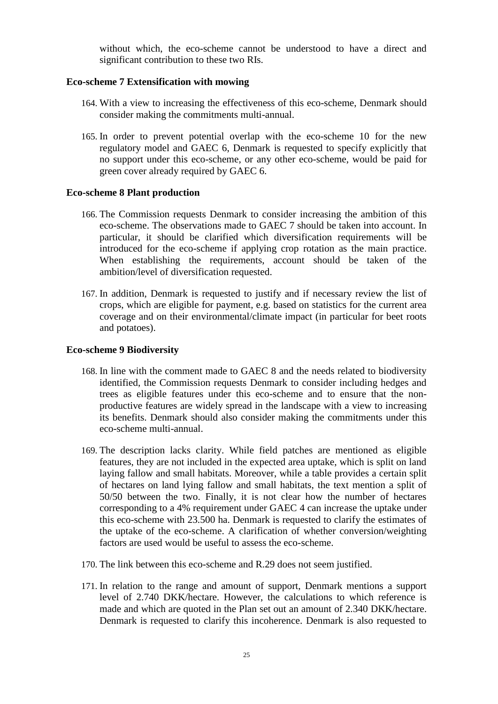without which, the eco-scheme cannot be understood to have a direct and significant contribution to these two RIs.

#### **Eco-scheme 7 Extensification with mowing**

- 164. With a view to increasing the effectiveness of this eco-scheme, Denmark should consider making the commitments multi-annual.
- 165. In order to prevent potential overlap with the eco-scheme 10 for the new regulatory model and GAEC 6, Denmark is requested to specify explicitly that no support under this eco-scheme, or any other eco-scheme, would be paid for green cover already required by GAEC 6.

### **Eco-scheme 8 Plant production**

- 166. The Commission requests Denmark to consider increasing the ambition of this eco-scheme. The observations made to GAEC 7 should be taken into account. In particular, it should be clarified which diversification requirements will be introduced for the eco-scheme if applying crop rotation as the main practice. When establishing the requirements, account should be taken of the ambition/level of diversification requested.
- 167. In addition, Denmark is requested to justify and if necessary review the list of crops, which are eligible for payment, e.g. based on statistics for the current area coverage and on their environmental/climate impact (in particular for beet roots and potatoes).

### **Eco-scheme 9 Biodiversity**

- 168. In line with the comment made to GAEC 8 and the needs related to biodiversity identified, the Commission requests Denmark to consider including hedges and trees as eligible features under this eco-scheme and to ensure that the nonproductive features are widely spread in the landscape with a view to increasing its benefits. Denmark should also consider making the commitments under this eco-scheme multi-annual.
- 169. The description lacks clarity. While field patches are mentioned as eligible features, they are not included in the expected area uptake, which is split on land laying fallow and small habitats. Moreover, while a table provides a certain split of hectares on land lying fallow and small habitats, the text mention a split of 50/50 between the two. Finally, it is not clear how the number of hectares corresponding to a 4% requirement under GAEC 4 can increase the uptake under this eco-scheme with 23.500 ha. Denmark is requested to clarify the estimates of the uptake of the eco-scheme. A clarification of whether conversion/weighting factors are used would be useful to assess the eco-scheme.
- 170. The link between this eco-scheme and R.29 does not seem justified.
- 171. In relation to the range and amount of support, Denmark mentions a support level of 2.740 DKK/hectare. However, the calculations to which reference is made and which are quoted in the Plan set out an amount of 2.340 DKK/hectare. Denmark is requested to clarify this incoherence. Denmark is also requested to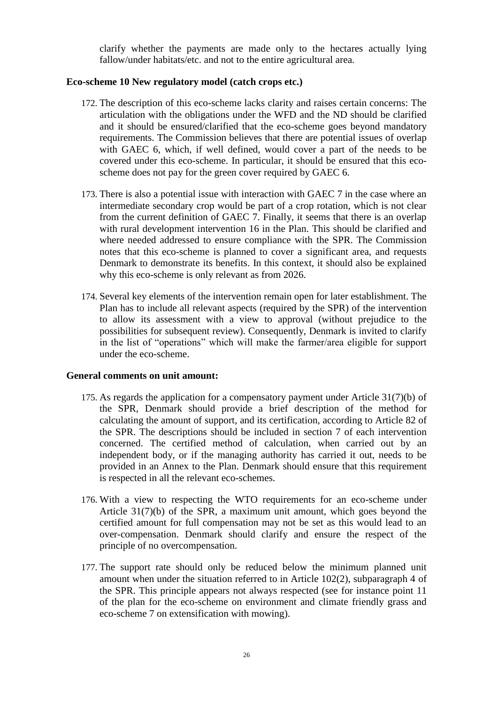clarify whether the payments are made only to the hectares actually lying fallow/under habitats/etc. and not to the entire agricultural area.

# **Eco-scheme 10 New regulatory model (catch crops etc.)**

- 172. The description of this eco-scheme lacks clarity and raises certain concerns: The articulation with the obligations under the WFD and the ND should be clarified and it should be ensured/clarified that the eco-scheme goes beyond mandatory requirements. The Commission believes that there are potential issues of overlap with GAEC 6, which, if well defined, would cover a part of the needs to be covered under this eco-scheme. In particular, it should be ensured that this ecoscheme does not pay for the green cover required by GAEC 6.
- 173. There is also a potential issue with interaction with GAEC 7 in the case where an intermediate secondary crop would be part of a crop rotation, which is not clear from the current definition of GAEC 7. Finally, it seems that there is an overlap with rural development intervention 16 in the Plan. This should be clarified and where needed addressed to ensure compliance with the SPR. The Commission notes that this eco-scheme is planned to cover a significant area, and requests Denmark to demonstrate its benefits. In this context, it should also be explained why this eco-scheme is only relevant as from 2026.
- 174. Several key elements of the intervention remain open for later establishment. The Plan has to include all relevant aspects (required by the SPR) of the intervention to allow its assessment with a view to approval (without prejudice to the possibilities for subsequent review). Consequently, Denmark is invited to clarify in the list of "operations" which will make the farmer/area eligible for support under the eco-scheme.

#### **General comments on unit amount:**

- 175. As regards the application for a compensatory payment under Article 31(7)(b) of the SPR, Denmark should provide a brief description of the method for calculating the amount of support, and its certification, according to Article 82 of the SPR. The descriptions should be included in section 7 of each intervention concerned. The certified method of calculation, when carried out by an independent body, or if the managing authority has carried it out, needs to be provided in an Annex to the Plan. Denmark should ensure that this requirement is respected in all the relevant eco-schemes.
- 176. With a view to respecting the WTO requirements for an eco-scheme under Article 31(7)(b) of the SPR, a maximum unit amount, which goes beyond the certified amount for full compensation may not be set as this would lead to an over-compensation. Denmark should clarify and ensure the respect of the principle of no overcompensation.
- 177. The support rate should only be reduced below the minimum planned unit amount when under the situation referred to in Article 102(2), subparagraph 4 of the SPR. This principle appears not always respected (see for instance point 11 of the plan for the eco-scheme on environment and climate friendly grass and eco-scheme 7 on extensification with mowing).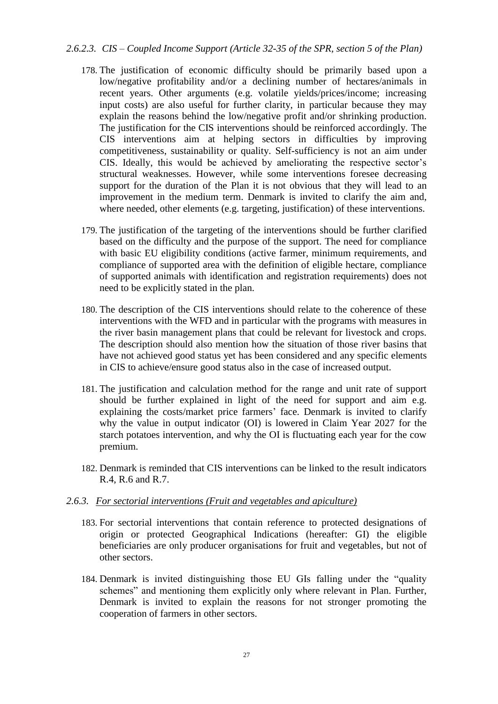# *2.6.2.3. CIS – Coupled Income Support (Article 32-35 of the SPR, section 5 of the Plan)*

- 178. The justification of economic difficulty should be primarily based upon a low/negative profitability and/or a declining number of hectares/animals in recent years. Other arguments (e.g. volatile yields/prices/income; increasing input costs) are also useful for further clarity, in particular because they may explain the reasons behind the low/negative profit and/or shrinking production. The justification for the CIS interventions should be reinforced accordingly. The CIS interventions aim at helping sectors in difficulties by improving competitiveness, sustainability or quality. Self-sufficiency is not an aim under CIS. Ideally, this would be achieved by ameliorating the respective sector's structural weaknesses. However, while some interventions foresee decreasing support for the duration of the Plan it is not obvious that they will lead to an improvement in the medium term. Denmark is invited to clarify the aim and, where needed, other elements (e.g. targeting, justification) of these interventions.
- 179. The justification of the targeting of the interventions should be further clarified based on the difficulty and the purpose of the support. The need for compliance with basic EU eligibility conditions (active farmer, minimum requirements, and compliance of supported area with the definition of eligible hectare, compliance of supported animals with identification and registration requirements) does not need to be explicitly stated in the plan.
- 180. The description of the CIS interventions should relate to the coherence of these interventions with the WFD and in particular with the programs with measures in the river basin management plans that could be relevant for livestock and crops. The description should also mention how the situation of those river basins that have not achieved good status yet has been considered and any specific elements in CIS to achieve/ensure good status also in the case of increased output.
- 181. The justification and calculation method for the range and unit rate of support should be further explained in light of the need for support and aim e.g. explaining the costs/market price farmers' face. Denmark is invited to clarify why the value in output indicator (OI) is lowered in Claim Year 2027 for the starch potatoes intervention, and why the OI is fluctuating each year for the cow premium.
- 182. Denmark is reminded that CIS interventions can be linked to the result indicators R.4, R.6 and R.7.

#### *2.6.3. For sectorial interventions (Fruit and vegetables and apiculture)*

- 183. For sectorial interventions that contain reference to protected designations of origin or protected Geographical Indications (hereafter: GI) the eligible beneficiaries are only producer organisations for fruit and vegetables, but not of other sectors.
- 184. Denmark is invited distinguishing those EU GIs falling under the "quality schemes" and mentioning them explicitly only where relevant in Plan. Further, Denmark is invited to explain the reasons for not stronger promoting the cooperation of farmers in other sectors.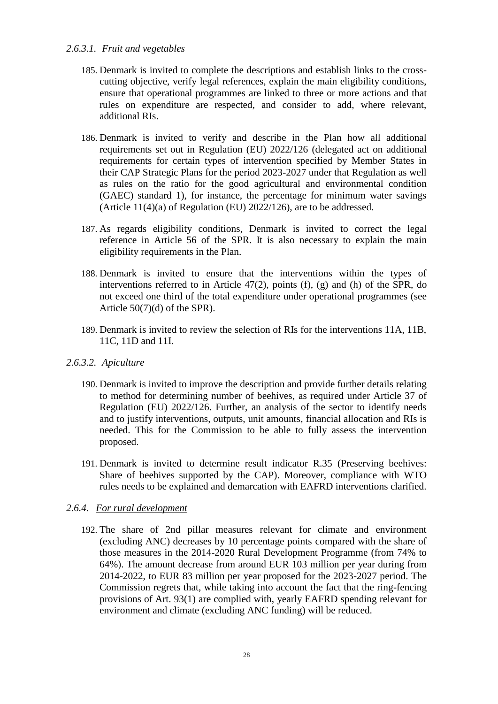# *2.6.3.1. Fruit and vegetables*

- 185. Denmark is invited to complete the descriptions and establish links to the crosscutting objective, verify legal references, explain the main eligibility conditions, ensure that operational programmes are linked to three or more actions and that rules on expenditure are respected, and consider to add, where relevant, additional RIs.
- 186. Denmark is invited to verify and describe in the Plan how all additional requirements set out in Regulation (EU) 2022/126 (delegated act on additional requirements for certain types of intervention specified by Member States in their CAP Strategic Plans for the period 2023-2027 under that Regulation as well as rules on the ratio for the good agricultural and environmental condition (GAEC) standard 1), for instance, the percentage for minimum water savings (Article 11(4)(a) of Regulation (EU) 2022/126), are to be addressed.
- 187. As regards eligibility conditions, Denmark is invited to correct the legal reference in Article 56 of the SPR. It is also necessary to explain the main eligibility requirements in the Plan.
- 188. Denmark is invited to ensure that the interventions within the types of interventions referred to in Article 47(2), points (f), (g) and (h) of the SPR, do not exceed one third of the total expenditure under operational programmes (see Article 50(7)(d) of the SPR).
- 189. Denmark is invited to review the selection of RIs for the interventions 11A, 11B, 11C, 11D and 11I.

# *2.6.3.2. Apiculture*

- 190. Denmark is invited to improve the description and provide further details relating to method for determining number of beehives, as required under Article 37 of Regulation (EU) 2022/126. Further, an analysis of the sector to identify needs and to justify interventions, outputs, unit amounts, financial allocation and RIs is needed. This for the Commission to be able to fully assess the intervention proposed.
- 191. Denmark is invited to determine result indicator R.35 (Preserving beehives: Share of beehives supported by the CAP). Moreover, compliance with WTO rules needs to be explained and demarcation with EAFRD interventions clarified.

# *2.6.4. For rural development*

192. The share of 2nd pillar measures relevant for climate and environment (excluding ANC) decreases by 10 percentage points compared with the share of those measures in the 2014-2020 Rural Development Programme (from 74% to 64%). The amount decrease from around EUR 103 million per year during from 2014-2022, to EUR 83 million per year proposed for the 2023-2027 period. The Commission regrets that, while taking into account the fact that the ring-fencing provisions of Art. 93(1) are complied with, yearly EAFRD spending relevant for environment and climate (excluding ANC funding) will be reduced.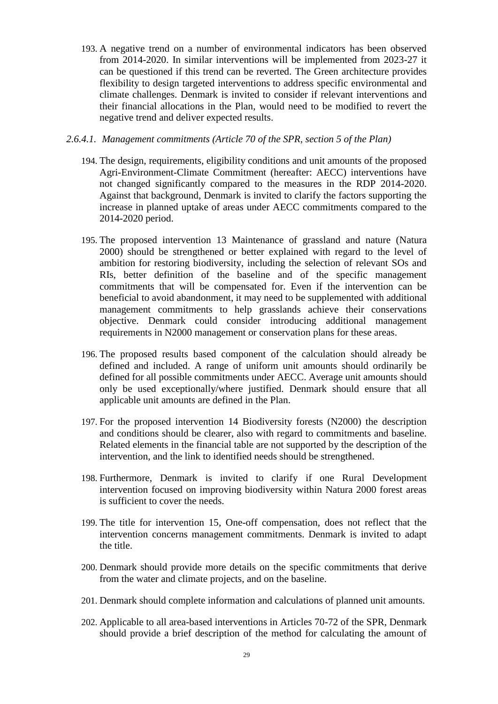193. A negative trend on a number of environmental indicators has been observed from 2014-2020. In similar interventions will be implemented from 2023-27 it can be questioned if this trend can be reverted. The Green architecture provides flexibility to design targeted interventions to address specific environmental and climate challenges. Denmark is invited to consider if relevant interventions and their financial allocations in the Plan, would need to be modified to revert the negative trend and deliver expected results.

#### *2.6.4.1. Management commitments (Article 70 of the SPR, section 5 of the Plan)*

- 194. The design, requirements, eligibility conditions and unit amounts of the proposed Agri-Environment-Climate Commitment (hereafter: AECC) interventions have not changed significantly compared to the measures in the RDP 2014-2020. Against that background, Denmark is invited to clarify the factors supporting the increase in planned uptake of areas under AECC commitments compared to the 2014-2020 period.
- 195. The proposed intervention 13 Maintenance of grassland and nature (Natura 2000) should be strengthened or better explained with regard to the level of ambition for restoring biodiversity, including the selection of relevant SOs and RIs, better definition of the baseline and of the specific management commitments that will be compensated for. Even if the intervention can be beneficial to avoid abandonment, it may need to be supplemented with additional management commitments to help grasslands achieve their conservations objective. Denmark could consider introducing additional management requirements in N2000 management or conservation plans for these areas.
- 196. The proposed results based component of the calculation should already be defined and included. A range of uniform unit amounts should ordinarily be defined for all possible commitments under AECC. Average unit amounts should only be used exceptionally/where justified. Denmark should ensure that all applicable unit amounts are defined in the Plan.
- 197. For the proposed intervention 14 Biodiversity forests (N2000) the description and conditions should be clearer, also with regard to commitments and baseline. Related elements in the financial table are not supported by the description of the intervention, and the link to identified needs should be strengthened.
- 198. Furthermore, Denmark is invited to clarify if one Rural Development intervention focused on improving biodiversity within Natura 2000 forest areas is sufficient to cover the needs.
- 199. The title for intervention 15, One-off compensation, does not reflect that the intervention concerns management commitments. Denmark is invited to adapt the title.
- 200. Denmark should provide more details on the specific commitments that derive from the water and climate projects, and on the baseline.
- 201. Denmark should complete information and calculations of planned unit amounts.
- 202. Applicable to all area-based interventions in Articles 70-72 of the SPR, Denmark should provide a brief description of the method for calculating the amount of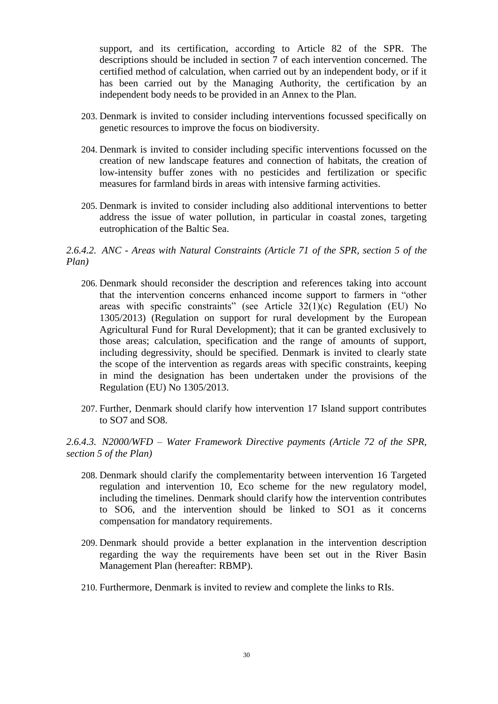support, and its certification, according to Article 82 of the SPR. The descriptions should be included in section 7 of each intervention concerned. The certified method of calculation, when carried out by an independent body, or if it has been carried out by the Managing Authority, the certification by an independent body needs to be provided in an Annex to the Plan.

- 203. Denmark is invited to consider including interventions focussed specifically on genetic resources to improve the focus on biodiversity.
- 204. Denmark is invited to consider including specific interventions focussed on the creation of new landscape features and connection of habitats, the creation of low-intensity buffer zones with no pesticides and fertilization or specific measures for farmland birds in areas with intensive farming activities.
- 205. Denmark is invited to consider including also additional interventions to better address the issue of water pollution, in particular in coastal zones, targeting eutrophication of the Baltic Sea.

*2.6.4.2. ANC - Areas with Natural Constraints (Article 71 of the SPR, section 5 of the Plan)*

- 206. Denmark should reconsider the description and references taking into account that the intervention concerns enhanced income support to farmers in "other areas with specific constraints" (see Article  $32(1)(c)$  Regulation (EU) No 1305/2013) (Regulation on support for rural development by the European Agricultural Fund for Rural Development); that it can be granted exclusively to those areas; calculation, specification and the range of amounts of support, including degressivity, should be specified. Denmark is invited to clearly state the scope of the intervention as regards areas with specific constraints, keeping in mind the designation has been undertaken under the provisions of the Regulation (EU) No 1305/2013.
- 207. Further, Denmark should clarify how intervention 17 Island support contributes to SO7 and SO8.

*2.6.4.3. N2000/WFD – Water Framework Directive payments (Article 72 of the SPR, section 5 of the Plan)*

- 208. Denmark should clarify the complementarity between intervention 16 Targeted regulation and intervention 10, Eco scheme for the new regulatory model, including the timelines. Denmark should clarify how the intervention contributes to SO6, and the intervention should be linked to SO1 as it concerns compensation for mandatory requirements.
- 209. Denmark should provide a better explanation in the intervention description regarding the way the requirements have been set out in the River Basin Management Plan (hereafter: RBMP).
- 210. Furthermore, Denmark is invited to review and complete the links to RIs.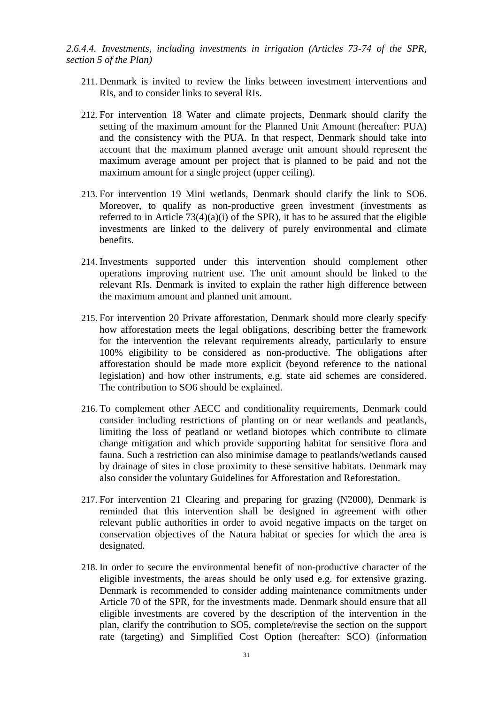*2.6.4.4. Investments, including investments in irrigation (Articles 73-74 of the SPR, section 5 of the Plan)*

- 211. Denmark is invited to review the links between investment interventions and RIs, and to consider links to several RIs.
- 212. For intervention 18 Water and climate projects, Denmark should clarify the setting of the maximum amount for the Planned Unit Amount (hereafter: PUA) and the consistency with the PUA. In that respect, Denmark should take into account that the maximum planned average unit amount should represent the maximum average amount per project that is planned to be paid and not the maximum amount for a single project (upper ceiling).
- 213. For intervention 19 Mini wetlands, Denmark should clarify the link to SO6. Moreover, to qualify as non-productive green investment (investments as referred to in Article  $73(4)(a)(i)$  of the SPR), it has to be assured that the eligible investments are linked to the delivery of purely environmental and climate benefits.
- 214. Investments supported under this intervention should complement other operations improving nutrient use. The unit amount should be linked to the relevant RIs. Denmark is invited to explain the rather high difference between the maximum amount and planned unit amount.
- 215. For intervention 20 Private afforestation, Denmark should more clearly specify how afforestation meets the legal obligations, describing better the framework for the intervention the relevant requirements already, particularly to ensure 100% eligibility to be considered as non-productive. The obligations after afforestation should be made more explicit (beyond reference to the national legislation) and how other instruments, e.g. state aid schemes are considered. The contribution to SO6 should be explained.
- 216. To complement other AECC and conditionality requirements, Denmark could consider including restrictions of planting on or near wetlands and peatlands, limiting the loss of peatland or wetland biotopes which contribute to climate change mitigation and which provide supporting habitat for sensitive flora and fauna. Such a restriction can also minimise damage to peatlands/wetlands caused by drainage of sites in close proximity to these sensitive habitats. Denmark may also consider the voluntary Guidelines for Afforestation and Reforestation.
- 217. For intervention 21 Clearing and preparing for grazing (N2000), Denmark is reminded that this intervention shall be designed in agreement with other relevant public authorities in order to avoid negative impacts on the target on conservation objectives of the Natura habitat or species for which the area is designated.
- 218. In order to secure the environmental benefit of non-productive character of the eligible investments, the areas should be only used e.g. for extensive grazing. Denmark is recommended to consider adding maintenance commitments under Article 70 of the SPR, for the investments made. Denmark should ensure that all eligible investments are covered by the description of the intervention in the plan, clarify the contribution to SO5, complete/revise the section on the support rate (targeting) and Simplified Cost Option (hereafter: SCO) (information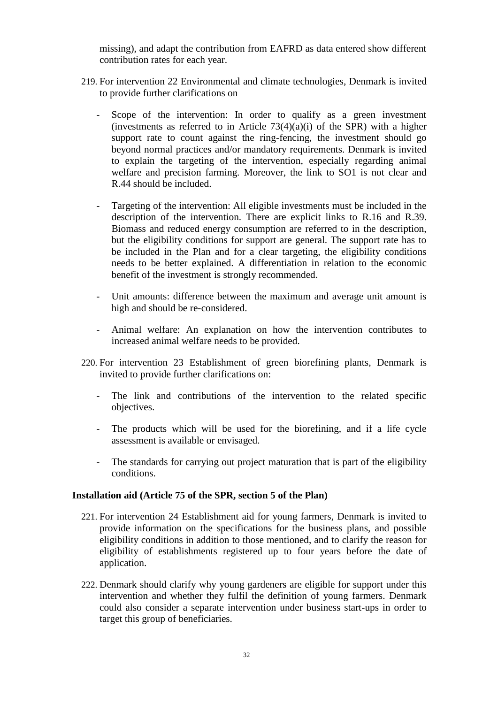missing), and adapt the contribution from EAFRD as data entered show different contribution rates for each year.

- 219. For intervention 22 Environmental and climate technologies, Denmark is invited to provide further clarifications on
	- Scope of the intervention: In order to qualify as a green investment (investments as referred to in Article  $73(4)(a)(i)$  of the SPR) with a higher support rate to count against the ring-fencing, the investment should go beyond normal practices and/or mandatory requirements. Denmark is invited to explain the targeting of the intervention, especially regarding animal welfare and precision farming. Moreover, the link to SO1 is not clear and R.44 should be included.
	- Targeting of the intervention: All eligible investments must be included in the description of the intervention. There are explicit links to R.16 and R.39. Biomass and reduced energy consumption are referred to in the description, but the eligibility conditions for support are general. The support rate has to be included in the Plan and for a clear targeting, the eligibility conditions needs to be better explained. A differentiation in relation to the economic benefit of the investment is strongly recommended.
	- Unit amounts: difference between the maximum and average unit amount is high and should be re-considered.
	- Animal welfare: An explanation on how the intervention contributes to increased animal welfare needs to be provided.
- 220. For intervention 23 Establishment of green biorefining plants, Denmark is invited to provide further clarifications on:
	- The link and contributions of the intervention to the related specific objectives.
	- The products which will be used for the biorefining, and if a life cycle assessment is available or envisaged.
	- The standards for carrying out project maturation that is part of the eligibility conditions.

#### **Installation aid (Article 75 of the SPR, section 5 of the Plan)**

- 221. For intervention 24 Establishment aid for young farmers, Denmark is invited to provide information on the specifications for the business plans, and possible eligibility conditions in addition to those mentioned, and to clarify the reason for eligibility of establishments registered up to four years before the date of application.
- 222. Denmark should clarify why young gardeners are eligible for support under this intervention and whether they fulfil the definition of young farmers. Denmark could also consider a separate intervention under business start-ups in order to target this group of beneficiaries.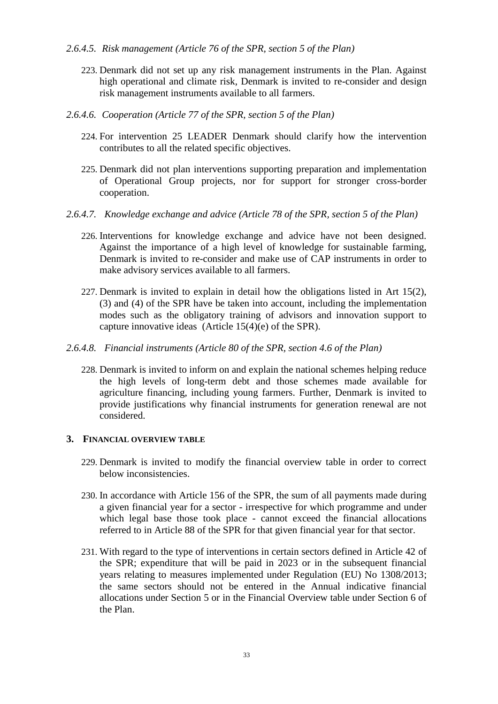### *2.6.4.5. Risk management (Article 76 of the SPR, section 5 of the Plan)*

- 223. Denmark did not set up any risk management instruments in the Plan. Against high operational and climate risk, Denmark is invited to re-consider and design risk management instruments available to all farmers.
- *2.6.4.6. Cooperation (Article 77 of the SPR, section 5 of the Plan)*
	- 224. For intervention 25 LEADER Denmark should clarify how the intervention contributes to all the related specific objectives.
	- 225. Denmark did not plan interventions supporting preparation and implementation of Operational Group projects, nor for support for stronger cross-border cooperation.
- *2.6.4.7. Knowledge exchange and advice (Article 78 of the SPR, section 5 of the Plan)*
	- 226. Interventions for knowledge exchange and advice have not been designed. Against the importance of a high level of knowledge for sustainable farming, Denmark is invited to re-consider and make use of CAP instruments in order to make advisory services available to all farmers.
	- 227. Denmark is invited to explain in detail how the obligations listed in Art 15(2), (3) and (4) of the SPR have be taken into account, including the implementation modes such as the obligatory training of advisors and innovation support to capture innovative ideas (Article 15(4)(e) of the SPR).
- *2.6.4.8. Financial instruments (Article 80 of the SPR, section 4.6 of the Plan)*
	- 228. Denmark is invited to inform on and explain the national schemes helping reduce the high levels of long-term debt and those schemes made available for agriculture financing, including young farmers. Further, Denmark is invited to provide justifications why financial instruments for generation renewal are not considered.

#### **3. FINANCIAL OVERVIEW TABLE**

- 229. Denmark is invited to modify the financial overview table in order to correct below inconsistencies.
- 230. In accordance with Article 156 of the SPR, the sum of all payments made during a given financial year for a sector - irrespective for which programme and under which legal base those took place - cannot exceed the financial allocations referred to in Article 88 of the SPR for that given financial year for that sector.
- 231. With regard to the type of interventions in certain sectors defined in Article 42 of the SPR; expenditure that will be paid in 2023 or in the subsequent financial years relating to measures implemented under Regulation (EU) No 1308/2013; the same sectors should not be entered in the Annual indicative financial allocations under Section 5 or in the Financial Overview table under Section 6 of the Plan.